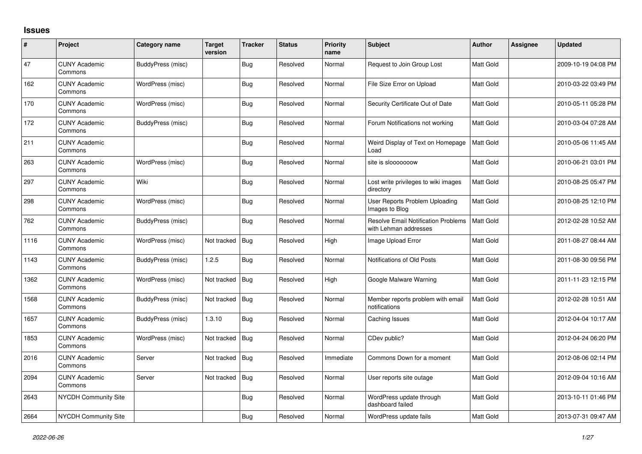## **Issues**

| #    | Project                         | Category name     | <b>Target</b><br>version | <b>Tracker</b> | <b>Status</b> | <b>Priority</b><br>name | <b>Subject</b>                                                      | <b>Author</b> | <b>Assignee</b> | <b>Updated</b>      |
|------|---------------------------------|-------------------|--------------------------|----------------|---------------|-------------------------|---------------------------------------------------------------------|---------------|-----------------|---------------------|
| 47   | <b>CUNY Academic</b><br>Commons | BuddyPress (misc) |                          | <b>Bug</b>     | Resolved      | Normal                  | Request to Join Group Lost                                          | Matt Gold     |                 | 2009-10-19 04:08 PM |
| 162  | <b>CUNY Academic</b><br>Commons | WordPress (misc)  |                          | Bug            | Resolved      | Normal                  | File Size Error on Upload                                           | Matt Gold     |                 | 2010-03-22 03:49 PM |
| 170  | <b>CUNY Academic</b><br>Commons | WordPress (misc)  |                          | Bug            | Resolved      | Normal                  | Security Certificate Out of Date                                    | Matt Gold     |                 | 2010-05-11 05:28 PM |
| 172  | <b>CUNY Academic</b><br>Commons | BuddyPress (misc) |                          | Bug            | Resolved      | Normal                  | Forum Notifications not working                                     | Matt Gold     |                 | 2010-03-04 07:28 AM |
| 211  | <b>CUNY Academic</b><br>Commons |                   |                          | Bug            | Resolved      | Normal                  | Weird Display of Text on Homepage<br>Load                           | Matt Gold     |                 | 2010-05-06 11:45 AM |
| 263  | <b>CUNY Academic</b><br>Commons | WordPress (misc)  |                          | Bug            | Resolved      | Normal                  | site is slooooooow                                                  | Matt Gold     |                 | 2010-06-21 03:01 PM |
| 297  | <b>CUNY Academic</b><br>Commons | Wiki              |                          | <b>Bug</b>     | Resolved      | Normal                  | Lost write privileges to wiki images<br>directory                   | Matt Gold     |                 | 2010-08-25 05:47 PM |
| 298  | <b>CUNY Academic</b><br>Commons | WordPress (misc)  |                          | <b>Bug</b>     | Resolved      | Normal                  | User Reports Problem Uploading<br>Images to Blog                    | Matt Gold     |                 | 2010-08-25 12:10 PM |
| 762  | <b>CUNY Academic</b><br>Commons | BuddyPress (misc) |                          | Bug            | Resolved      | Normal                  | <b>Resolve Email Notification Problems</b><br>with Lehman addresses | Matt Gold     |                 | 2012-02-28 10:52 AM |
| 1116 | <b>CUNY Academic</b><br>Commons | WordPress (misc)  | Not tracked              | <b>Bug</b>     | Resolved      | High                    | Image Upload Error                                                  | Matt Gold     |                 | 2011-08-27 08:44 AM |
| 1143 | <b>CUNY Academic</b><br>Commons | BuddyPress (misc) | 1.2.5                    | Bug            | Resolved      | Normal                  | Notifications of Old Posts                                          | Matt Gold     |                 | 2011-08-30 09:56 PM |
| 1362 | <b>CUNY Academic</b><br>Commons | WordPress (misc)  | Not tracked              | Bug            | Resolved      | High                    | Google Malware Warning                                              | Matt Gold     |                 | 2011-11-23 12:15 PM |
| 1568 | <b>CUNY Academic</b><br>Commons | BuddyPress (misc) | Not tracked              | <b>Bug</b>     | Resolved      | Normal                  | Member reports problem with email<br>notifications                  | Matt Gold     |                 | 2012-02-28 10:51 AM |
| 1657 | <b>CUNY Academic</b><br>Commons | BuddyPress (misc) | 1.3.10                   | Bug            | Resolved      | Normal                  | Caching Issues                                                      | Matt Gold     |                 | 2012-04-04 10:17 AM |
| 1853 | <b>CUNY Academic</b><br>Commons | WordPress (misc)  | Not tracked              | <b>Bug</b>     | Resolved      | Normal                  | CDev public?                                                        | Matt Gold     |                 | 2012-04-24 06:20 PM |
| 2016 | <b>CUNY Academic</b><br>Commons | Server            | Not tracked              | <b>Bug</b>     | Resolved      | Immediate               | Commons Down for a moment                                           | Matt Gold     |                 | 2012-08-06 02:14 PM |
| 2094 | <b>CUNY Academic</b><br>Commons | Server            | Not tracked              | Bug            | Resolved      | Normal                  | User reports site outage                                            | Matt Gold     |                 | 2012-09-04 10:16 AM |
| 2643 | <b>NYCDH Community Site</b>     |                   |                          | <b>Bug</b>     | Resolved      | Normal                  | WordPress update through<br>dashboard failed                        | Matt Gold     |                 | 2013-10-11 01:46 PM |
| 2664 | <b>NYCDH Community Site</b>     |                   |                          | Bug            | Resolved      | Normal                  | WordPress update fails                                              | Matt Gold     |                 | 2013-07-31 09:47 AM |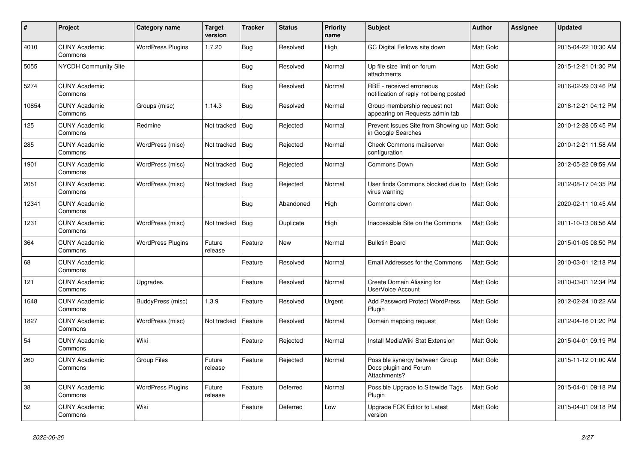| $\#$  | Project                         | Category name            | <b>Target</b><br>version | <b>Tracker</b> | <b>Status</b> | <b>Priority</b><br>name | <b>Subject</b>                                                          | Author           | <b>Assignee</b> | <b>Updated</b>      |
|-------|---------------------------------|--------------------------|--------------------------|----------------|---------------|-------------------------|-------------------------------------------------------------------------|------------------|-----------------|---------------------|
| 4010  | <b>CUNY Academic</b><br>Commons | <b>WordPress Plugins</b> | 1.7.20                   | Bug            | Resolved      | High                    | GC Digital Fellows site down                                            | Matt Gold        |                 | 2015-04-22 10:30 AM |
| 5055  | <b>NYCDH Community Site</b>     |                          |                          | Bug            | Resolved      | Normal                  | Up file size limit on forum<br>attachments                              | Matt Gold        |                 | 2015-12-21 01:30 PM |
| 5274  | <b>CUNY Academic</b><br>Commons |                          |                          | Bug            | Resolved      | Normal                  | RBE - received erroneous<br>notification of reply not being posted      | Matt Gold        |                 | 2016-02-29 03:46 PM |
| 10854 | <b>CUNY Academic</b><br>Commons | Groups (misc)            | 1.14.3                   | Bug            | Resolved      | Normal                  | Group membership request not<br>appearing on Requests admin tab         | Matt Gold        |                 | 2018-12-21 04:12 PM |
| 125   | <b>CUNY Academic</b><br>Commons | Redmine                  | Not tracked              | Bug            | Rejected      | Normal                  | Prevent Issues Site from Showing up<br>in Google Searches               | Matt Gold        |                 | 2010-12-28 05:45 PM |
| 285   | <b>CUNY Academic</b><br>Commons | WordPress (misc)         | Not tracked              | Bug            | Rejected      | Normal                  | <b>Check Commons mailserver</b><br>configuration                        | Matt Gold        |                 | 2010-12-21 11:58 AM |
| 1901  | <b>CUNY Academic</b><br>Commons | WordPress (misc)         | Not tracked              | <b>Bug</b>     | Rejected      | Normal                  | Commons Down                                                            | Matt Gold        |                 | 2012-05-22 09:59 AM |
| 2051  | <b>CUNY Academic</b><br>Commons | WordPress (misc)         | Not tracked              | Bug            | Rejected      | Normal                  | User finds Commons blocked due to<br>virus warning                      | Matt Gold        |                 | 2012-08-17 04:35 PM |
| 12341 | <b>CUNY Academic</b><br>Commons |                          |                          | <b>Bug</b>     | Abandoned     | High                    | Commons down                                                            | Matt Gold        |                 | 2020-02-11 10:45 AM |
| 1231  | <b>CUNY Academic</b><br>Commons | WordPress (misc)         | Not tracked              | Bug            | Duplicate     | High                    | Inaccessible Site on the Commons                                        | Matt Gold        |                 | 2011-10-13 08:56 AM |
| 364   | <b>CUNY Academic</b><br>Commons | <b>WordPress Plugins</b> | Future<br>release        | Feature        | <b>New</b>    | Normal                  | <b>Bulletin Board</b>                                                   | <b>Matt Gold</b> |                 | 2015-01-05 08:50 PM |
| 68    | <b>CUNY Academic</b><br>Commons |                          |                          | Feature        | Resolved      | Normal                  | Email Addresses for the Commons                                         | Matt Gold        |                 | 2010-03-01 12:18 PM |
| 121   | <b>CUNY Academic</b><br>Commons | Upgrades                 |                          | Feature        | Resolved      | Normal                  | Create Domain Aliasing for<br><b>UserVoice Account</b>                  | Matt Gold        |                 | 2010-03-01 12:34 PM |
| 1648  | <b>CUNY Academic</b><br>Commons | BuddyPress (misc)        | 1.3.9                    | Feature        | Resolved      | Urgent                  | Add Password Protect WordPress<br>Plugin                                | Matt Gold        |                 | 2012-02-24 10:22 AM |
| 1827  | <b>CUNY Academic</b><br>Commons | WordPress (misc)         | Not tracked              | Feature        | Resolved      | Normal                  | Domain mapping request                                                  | Matt Gold        |                 | 2012-04-16 01:20 PM |
| 54    | <b>CUNY Academic</b><br>Commons | Wiki                     |                          | Feature        | Rejected      | Normal                  | Install MediaWiki Stat Extension                                        | Matt Gold        |                 | 2015-04-01 09:19 PM |
| 260   | <b>CUNY Academic</b><br>Commons | Group Files              | Future<br>release        | Feature        | Rejected      | Normal                  | Possible synergy between Group<br>Docs plugin and Forum<br>Attachments? | <b>Matt Gold</b> |                 | 2015-11-12 01:00 AM |
| 38    | <b>CUNY Academic</b><br>Commons | <b>WordPress Plugins</b> | Future<br>release        | Feature        | Deferred      | Normal                  | Possible Upgrade to Sitewide Tags<br>Plugin                             | <b>Matt Gold</b> |                 | 2015-04-01 09:18 PM |
| 52    | <b>CUNY Academic</b><br>Commons | Wiki                     |                          | Feature        | Deferred      | Low                     | Upgrade FCK Editor to Latest<br>version                                 | Matt Gold        |                 | 2015-04-01 09:18 PM |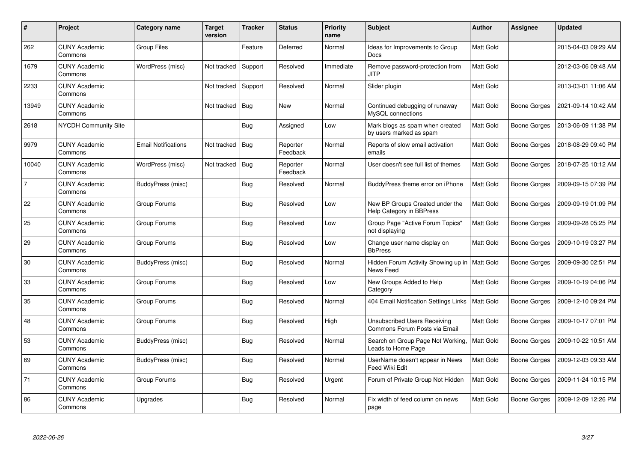| #     | Project                         | Category name              | <b>Target</b><br>version | Tracker    | <b>Status</b>        | <b>Priority</b><br>name | <b>Subject</b>                                                       | <b>Author</b>    | Assignee            | <b>Updated</b>      |
|-------|---------------------------------|----------------------------|--------------------------|------------|----------------------|-------------------------|----------------------------------------------------------------------|------------------|---------------------|---------------------|
| 262   | <b>CUNY Academic</b><br>Commons | Group Files                |                          | Feature    | Deferred             | Normal                  | Ideas for Improvements to Group<br>Docs                              | <b>Matt Gold</b> |                     | 2015-04-03 09:29 AM |
| 1679  | <b>CUNY Academic</b><br>Commons | WordPress (misc)           | Not tracked              | Support    | Resolved             | Immediate               | Remove password-protection from<br><b>JITP</b>                       | Matt Gold        |                     | 2012-03-06 09:48 AM |
| 2233  | <b>CUNY Academic</b><br>Commons |                            | Not tracked              | Support    | Resolved             | Normal                  | Slider plugin                                                        | Matt Gold        |                     | 2013-03-01 11:06 AM |
| 13949 | <b>CUNY Academic</b><br>Commons |                            | Not tracked              | Bug        | <b>New</b>           | Normal                  | Continued debugging of runaway<br>MySQL connections                  | Matt Gold        | Boone Gorges        | 2021-09-14 10:42 AM |
| 2618  | <b>NYCDH Community Site</b>     |                            |                          | <b>Bug</b> | Assigned             | Low                     | Mark blogs as spam when created<br>by users marked as spam           | Matt Gold        | <b>Boone Gorges</b> | 2013-06-09 11:38 PM |
| 9979  | <b>CUNY Academic</b><br>Commons | <b>Email Notifications</b> | Not tracked              | Bug        | Reporter<br>Feedback | Normal                  | Reports of slow email activation<br>emails                           | Matt Gold        | Boone Gorges        | 2018-08-29 09:40 PM |
| 10040 | <b>CUNY Academic</b><br>Commons | WordPress (misc)           | Not tracked              | <b>Bug</b> | Reporter<br>Feedback | Normal                  | User doesn't see full list of themes                                 | Matt Gold        | <b>Boone Gorges</b> | 2018-07-25 10:12 AM |
| 7     | <b>CUNY Academic</b><br>Commons | BuddyPress (misc)          |                          | Bug        | Resolved             | Normal                  | BuddyPress theme error on iPhone                                     | Matt Gold        | Boone Gorges        | 2009-09-15 07:39 PM |
| 22    | <b>CUNY Academic</b><br>Commons | Group Forums               |                          | Bug        | Resolved             | Low                     | New BP Groups Created under the<br>Help Category in BBPress          | Matt Gold        | Boone Gorges        | 2009-09-19 01:09 PM |
| 25    | <b>CUNY Academic</b><br>Commons | Group Forums               |                          | Bug        | Resolved             | Low                     | Group Page "Active Forum Topics"<br>not displaying                   | Matt Gold        | Boone Gorges        | 2009-09-28 05:25 PM |
| 29    | <b>CUNY Academic</b><br>Commons | Group Forums               |                          | <b>Bug</b> | Resolved             | Low                     | Change user name display on<br><b>BbPress</b>                        | Matt Gold        | <b>Boone Gorges</b> | 2009-10-19 03:27 PM |
| 30    | <b>CUNY Academic</b><br>Commons | BuddyPress (misc)          |                          | Bug        | Resolved             | Normal                  | Hidden Forum Activity Showing up in<br>News Feed                     | <b>Matt Gold</b> | Boone Gorges        | 2009-09-30 02:51 PM |
| 33    | <b>CUNY Academic</b><br>Commons | Group Forums               |                          | <b>Bug</b> | Resolved             | Low                     | New Groups Added to Help<br>Category                                 | Matt Gold        | <b>Boone Gorges</b> | 2009-10-19 04:06 PM |
| 35    | <b>CUNY Academic</b><br>Commons | Group Forums               |                          | Bug        | Resolved             | Normal                  | 404 Email Notification Settings Links                                | Matt Gold        | Boone Gorges        | 2009-12-10 09:24 PM |
| 48    | <b>CUNY Academic</b><br>Commons | Group Forums               |                          | Bug        | Resolved             | High                    | <b>Unsubscribed Users Receiving</b><br>Commons Forum Posts via Email | Matt Gold        | Boone Gorges        | 2009-10-17 07:01 PM |
| 53    | <b>CUNY Academic</b><br>Commons | BuddyPress (misc)          |                          | Bug        | Resolved             | Normal                  | Search on Group Page Not Working,<br>Leads to Home Page              | Matt Gold        | Boone Gorges        | 2009-10-22 10:51 AM |
| 69    | <b>CUNY Academic</b><br>Commons | BuddyPress (misc)          |                          | <b>Bug</b> | Resolved             | Normal                  | UserName doesn't appear in News<br>Feed Wiki Edit                    | Matt Gold        | Boone Gorges        | 2009-12-03 09:33 AM |
| 71    | <b>CUNY Academic</b><br>Commons | Group Forums               |                          | Bug        | Resolved             | Urgent                  | Forum of Private Group Not Hidden                                    | Matt Gold        | Boone Gorges        | 2009-11-24 10:15 PM |
| 86    | <b>CUNY Academic</b><br>Commons | Upgrades                   |                          | Bug        | Resolved             | Normal                  | Fix width of feed column on news<br>page                             | Matt Gold        | <b>Boone Gorges</b> | 2009-12-09 12:26 PM |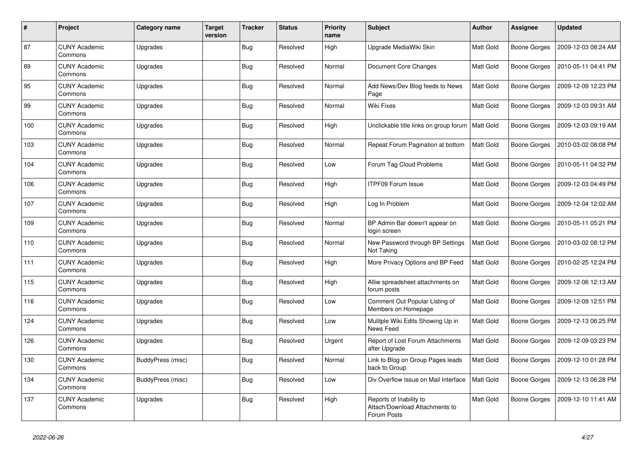| #   | Project                         | Category name     | <b>Target</b><br>version | <b>Tracker</b> | <b>Status</b> | <b>Priority</b><br>name | <b>Subject</b>                                                           | <b>Author</b>    | Assignee            | <b>Updated</b>      |
|-----|---------------------------------|-------------------|--------------------------|----------------|---------------|-------------------------|--------------------------------------------------------------------------|------------------|---------------------|---------------------|
| 87  | <b>CUNY Academic</b><br>Commons | Upgrades          |                          | <b>Bug</b>     | Resolved      | High                    | Upgrade MediaWiki Skin                                                   | Matt Gold        | <b>Boone Gorges</b> | 2009-12-03 08:24 AM |
| 89  | <b>CUNY Academic</b><br>Commons | Upgrades          |                          | <b>Bug</b>     | Resolved      | Normal                  | Document Core Changes                                                    | Matt Gold        | <b>Boone Gorges</b> | 2010-05-11 04:41 PM |
| 95  | <b>CUNY Academic</b><br>Commons | Upgrades          |                          | <b>Bug</b>     | Resolved      | Normal                  | Add News/Dev Blog feeds to News<br>Page                                  | Matt Gold        | <b>Boone Gorges</b> | 2009-12-09 12:23 PM |
| 99  | <b>CUNY Academic</b><br>Commons | Upgrades          |                          | <b>Bug</b>     | Resolved      | Normal                  | <b>Wiki Fixes</b>                                                        | Matt Gold        | <b>Boone Gorges</b> | 2009-12-03 09:31 AM |
| 100 | <b>CUNY Academic</b><br>Commons | Upgrades          |                          | <b>Bug</b>     | Resolved      | High                    | Unclickable title links on group forum                                   | <b>Matt Gold</b> | <b>Boone Gorges</b> | 2009-12-03 09:19 AM |
| 103 | <b>CUNY Academic</b><br>Commons | Upgrades          |                          | <b>Bug</b>     | Resolved      | Normal                  | Repeat Forum Pagination at bottom                                        | Matt Gold        | Boone Gorges        | 2010-03-02 08:08 PM |
| 104 | <b>CUNY Academic</b><br>Commons | Upgrades          |                          | <b>Bug</b>     | Resolved      | Low                     | Forum Tag Cloud Problems                                                 | Matt Gold        | <b>Boone Gorges</b> | 2010-05-11 04:32 PM |
| 106 | <b>CUNY Academic</b><br>Commons | Upgrades          |                          | <b>Bug</b>     | Resolved      | High                    | <b>ITPF09 Forum Issue</b>                                                | Matt Gold        | <b>Boone Gorges</b> | 2009-12-03 04:49 PM |
| 107 | <b>CUNY Academic</b><br>Commons | Upgrades          |                          | Bug            | Resolved      | High                    | Log In Problem                                                           | Matt Gold        | <b>Boone Gorges</b> | 2009-12-04 12:02 AM |
| 109 | <b>CUNY Academic</b><br>Commons | Upgrades          |                          | Bug            | Resolved      | Normal                  | BP Admin Bar doesn't appear on<br>login screen                           | Matt Gold        | <b>Boone Gorges</b> | 2010-05-11 05:21 PM |
| 110 | <b>CUNY Academic</b><br>Commons | Upgrades          |                          | Bug            | Resolved      | Normal                  | New Password through BP Settings<br>Not Taking                           | Matt Gold        | Boone Gorges        | 2010-03-02 08:12 PM |
| 111 | <b>CUNY Academic</b><br>Commons | Upgrades          |                          | <b>Bug</b>     | Resolved      | High                    | More Privacy Options and BP Feed                                         | Matt Gold        | <b>Boone Gorges</b> | 2010-02-25 12:24 PM |
| 115 | <b>CUNY Academic</b><br>Commons | Upgrades          |                          | <b>Bug</b>     | Resolved      | High                    | Alliw spreadsheet attachments on<br>forum posts                          | Matt Gold        | Boone Gorges        | 2009-12-06 12:13 AM |
| 116 | <b>CUNY Academic</b><br>Commons | Upgrades          |                          | <b>Bug</b>     | Resolved      | Low                     | Comment Out Popular Listing of<br>Members on Homepage                    | Matt Gold        | <b>Boone Gorges</b> | 2009-12-09 12:51 PM |
| 124 | <b>CUNY Academic</b><br>Commons | Upgrades          |                          | <b>Bug</b>     | Resolved      | Low                     | Mulitple Wiki Edits Showing Up in<br>News Feed                           | Matt Gold        | <b>Boone Gorges</b> | 2009-12-13 06:25 PM |
| 126 | <b>CUNY Academic</b><br>Commons | Upgrades          |                          | Bug            | Resolved      | Urgent                  | Report of Lost Forum Attachments<br>after Upgrade                        | Matt Gold        | <b>Boone Gorges</b> | 2009-12-09 03:23 PM |
| 130 | <b>CUNY Academic</b><br>Commons | BuddyPress (misc) |                          | <b>Bug</b>     | Resolved      | Normal                  | Link to Blog on Group Pages leads<br>back to Group                       | Matt Gold        | Boone Gorges        | 2009-12-10 01:28 PM |
| 134 | <b>CUNY Academic</b><br>Commons | BuddyPress (misc) |                          | <b>Bug</b>     | Resolved      | Low                     | Div Overflow Issue on Mail Interface                                     | Matt Gold        | <b>Boone Gorges</b> | 2009-12-13 06:28 PM |
| 137 | <b>CUNY Academic</b><br>Commons | Upgrades          |                          | <b>Bug</b>     | Resolved      | High                    | Reports of Inability to<br>Attach/Download Attachments to<br>Forum Posts | Matt Gold        | <b>Boone Gorges</b> | 2009-12-10 11:41 AM |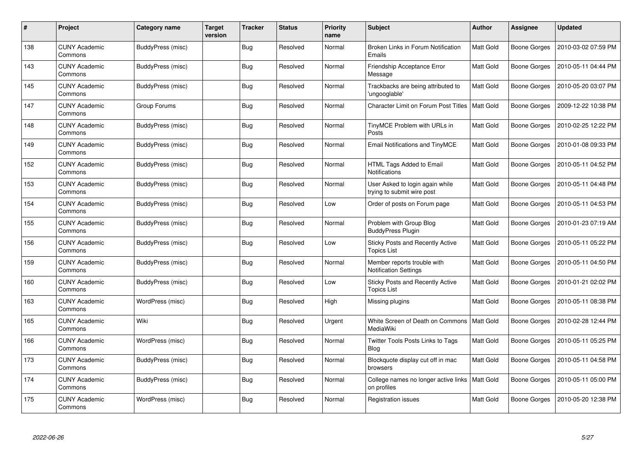| $\#$ | Project                         | Category name     | <b>Target</b><br>version | <b>Tracker</b> | <b>Status</b> | <b>Priority</b><br>name | <b>Subject</b>                                                | <b>Author</b>    | Assignee            | <b>Updated</b>      |
|------|---------------------------------|-------------------|--------------------------|----------------|---------------|-------------------------|---------------------------------------------------------------|------------------|---------------------|---------------------|
| 138  | <b>CUNY Academic</b><br>Commons | BuddyPress (misc) |                          | <b>Bug</b>     | Resolved      | Normal                  | Broken Links in Forum Notification<br>Emails                  | <b>Matt Gold</b> | <b>Boone Gorges</b> | 2010-03-02 07:59 PM |
| 143  | <b>CUNY Academic</b><br>Commons | BuddyPress (misc) |                          | Bug            | Resolved      | Normal                  | Friendship Acceptance Error<br>Message                        | <b>Matt Gold</b> | <b>Boone Gorges</b> | 2010-05-11 04:44 PM |
| 145  | <b>CUNY Academic</b><br>Commons | BuddyPress (misc) |                          | <b>Bug</b>     | Resolved      | Normal                  | Trackbacks are being attributed to<br>'ungooglable'           | <b>Matt Gold</b> | <b>Boone Gorges</b> | 2010-05-20 03:07 PM |
| 147  | <b>CUNY Academic</b><br>Commons | Group Forums      |                          | Bug            | Resolved      | Normal                  | Character Limit on Forum Post Titles                          | <b>Matt Gold</b> | <b>Boone Gorges</b> | 2009-12-22 10:38 PM |
| 148  | <b>CUNY Academic</b><br>Commons | BuddyPress (misc) |                          | Bug            | Resolved      | Normal                  | TinyMCE Problem with URLs in<br>Posts                         | <b>Matt Gold</b> | <b>Boone Gorges</b> | 2010-02-25 12:22 PM |
| 149  | <b>CUNY Academic</b><br>Commons | BuddyPress (misc) |                          | <b>Bug</b>     | Resolved      | Normal                  | <b>Email Notifications and TinyMCE</b>                        | Matt Gold        | <b>Boone Gorges</b> | 2010-01-08 09:33 PM |
| 152  | <b>CUNY Academic</b><br>Commons | BuddyPress (misc) |                          | <b>Bug</b>     | Resolved      | Normal                  | HTML Tags Added to Email<br>Notifications                     | Matt Gold        | <b>Boone Gorges</b> | 2010-05-11 04:52 PM |
| 153  | <b>CUNY Academic</b><br>Commons | BuddyPress (misc) |                          | Bug            | Resolved      | Normal                  | User Asked to login again while<br>trying to submit wire post | Matt Gold        | <b>Boone Gorges</b> | 2010-05-11 04:48 PM |
| 154  | <b>CUNY Academic</b><br>Commons | BuddyPress (misc) |                          | Bug            | Resolved      | Low                     | Order of posts on Forum page                                  | <b>Matt Gold</b> | Boone Gorges        | 2010-05-11 04:53 PM |
| 155  | <b>CUNY Academic</b><br>Commons | BuddyPress (misc) |                          | <b>Bug</b>     | Resolved      | Normal                  | Problem with Group Blog<br><b>BuddyPress Plugin</b>           | Matt Gold        | <b>Boone Gorges</b> | 2010-01-23 07:19 AM |
| 156  | <b>CUNY Academic</b><br>Commons | BuddyPress (misc) |                          | <b>Bug</b>     | Resolved      | Low                     | Sticky Posts and Recently Active<br><b>Topics List</b>        | Matt Gold        | <b>Boone Gorges</b> | 2010-05-11 05:22 PM |
| 159  | <b>CUNY Academic</b><br>Commons | BuddyPress (misc) |                          | Bug            | Resolved      | Normal                  | Member reports trouble with<br><b>Notification Settings</b>   | Matt Gold        | <b>Boone Gorges</b> | 2010-05-11 04:50 PM |
| 160  | <b>CUNY Academic</b><br>Commons | BuddyPress (misc) |                          | Bug            | Resolved      | Low                     | <b>Sticky Posts and Recently Active</b><br><b>Topics List</b> | Matt Gold        | Boone Gorges        | 2010-01-21 02:02 PM |
| 163  | <b>CUNY Academic</b><br>Commons | WordPress (misc)  |                          | <b>Bug</b>     | Resolved      | High                    | Missing plugins                                               | Matt Gold        | <b>Boone Gorges</b> | 2010-05-11 08:38 PM |
| 165  | <b>CUNY Academic</b><br>Commons | Wiki              |                          | <b>Bug</b>     | Resolved      | Urgent                  | White Screen of Death on Commons   Matt Gold<br>MediaWiki     |                  | <b>Boone Gorges</b> | 2010-02-28 12:44 PM |
| 166  | <b>CUNY Academic</b><br>Commons | WordPress (misc)  |                          | Bug            | Resolved      | Normal                  | Twitter Tools Posts Links to Tags<br><b>Blog</b>              | Matt Gold        | <b>Boone Gorges</b> | 2010-05-11 05:25 PM |
| 173  | <b>CUNY Academic</b><br>Commons | BuddyPress (misc) |                          | Bug            | Resolved      | Normal                  | Blockquote display cut off in mac<br>browsers                 | <b>Matt Gold</b> | Boone Gorges        | 2010-05-11 04:58 PM |
| 174  | <b>CUNY Academic</b><br>Commons | BuddyPress (misc) |                          | <b>Bug</b>     | Resolved      | Normal                  | College names no longer active links<br>on profiles           | Matt Gold        | <b>Boone Gorges</b> | 2010-05-11 05:00 PM |
| 175  | <b>CUNY Academic</b><br>Commons | WordPress (misc)  |                          | <b>Bug</b>     | Resolved      | Normal                  | Registration issues                                           | Matt Gold        | <b>Boone Gorges</b> | 2010-05-20 12:38 PM |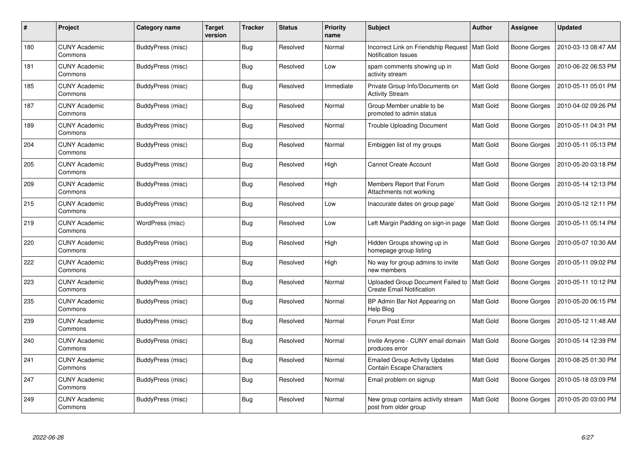| $\#$ | Project                         | Category name            | <b>Target</b><br>version | Tracker    | <b>Status</b> | <b>Priority</b><br>name | <b>Subject</b>                                                          | <b>Author</b>    | Assignee            | <b>Updated</b>      |
|------|---------------------------------|--------------------------|--------------------------|------------|---------------|-------------------------|-------------------------------------------------------------------------|------------------|---------------------|---------------------|
| 180  | <b>CUNY Academic</b><br>Commons | BuddyPress (misc)        |                          | Bug        | Resolved      | Normal                  | Incorrect Link on Friendship Request   Matt Gold<br>Notification Issues |                  | Boone Gorges        | 2010-03-13 08:47 AM |
| 181  | <b>CUNY Academic</b><br>Commons | BuddyPress (misc)        |                          | <b>Bug</b> | Resolved      | Low                     | spam comments showing up in<br>activity stream                          | Matt Gold        | Boone Gorges        | 2010-06-22 06:53 PM |
| 185  | <b>CUNY Academic</b><br>Commons | BuddyPress (misc)        |                          | <b>Bug</b> | Resolved      | Immediate               | Private Group Info/Documents on<br><b>Activity Stream</b>               | Matt Gold        | Boone Gorges        | 2010-05-11 05:01 PM |
| 187  | <b>CUNY Academic</b><br>Commons | BuddyPress (misc)        |                          | Bug        | Resolved      | Normal                  | Group Member unable to be<br>promoted to admin status                   | Matt Gold        | Boone Gorges        | 2010-04-02 09:26 PM |
| 189  | <b>CUNY Academic</b><br>Commons | <b>BuddyPress (misc)</b> |                          | Bug        | Resolved      | Normal                  | <b>Trouble Uploading Document</b>                                       | Matt Gold        | Boone Gorges        | 2010-05-11 04:31 PM |
| 204  | <b>CUNY Academic</b><br>Commons | BuddyPress (misc)        |                          | Bug        | Resolved      | Normal                  | Embiggen list of my groups                                              | Matt Gold        | Boone Gorges        | 2010-05-11 05:13 PM |
| 205  | <b>CUNY Academic</b><br>Commons | <b>BuddyPress (misc)</b> |                          | <b>Bug</b> | Resolved      | High                    | <b>Cannot Create Account</b>                                            | Matt Gold        | <b>Boone Gorges</b> | 2010-05-20 03:18 PM |
| 209  | <b>CUNY Academic</b><br>Commons | BuddyPress (misc)        |                          | Bug        | Resolved      | High                    | Members Report that Forum<br>Attachments not working                    | Matt Gold        | Boone Gorges        | 2010-05-14 12:13 PM |
| 215  | <b>CUNY Academic</b><br>Commons | BuddyPress (misc)        |                          | <b>Bug</b> | Resolved      | Low                     | Inaccurate dates on group page`                                         | Matt Gold        | Boone Gorges        | 2010-05-12 12:11 PM |
| 219  | <b>CUNY Academic</b><br>Commons | WordPress (misc)         |                          | Bug        | Resolved      | Low                     | Left Margin Padding on sign-in page                                     | Matt Gold        | Boone Gorges        | 2010-05-11 05:14 PM |
| 220  | <b>CUNY Academic</b><br>Commons | BuddyPress (misc)        |                          | Bug        | Resolved      | High                    | Hidden Groups showing up in<br>homepage group listing                   | Matt Gold        | Boone Gorges        | 2010-05-07 10:30 AM |
| 222  | <b>CUNY Academic</b><br>Commons | BuddyPress (misc)        |                          | <b>Bug</b> | Resolved      | High                    | No way for group admins to invite<br>new members                        | Matt Gold        | Boone Gorges        | 2010-05-11 09:02 PM |
| 223  | <b>CUNY Academic</b><br>Commons | BuddyPress (misc)        |                          | <b>Bug</b> | Resolved      | Normal                  | Uploaded Group Document Failed to<br><b>Create Email Notification</b>   | <b>Matt Gold</b> | Boone Gorges        | 2010-05-11 10:12 PM |
| 235  | <b>CUNY Academic</b><br>Commons | BuddyPress (misc)        |                          | Bug        | Resolved      | Normal                  | BP Admin Bar Not Appearing on<br>Help Blog                              | Matt Gold        | Boone Gorges        | 2010-05-20 06:15 PM |
| 239  | <b>CUNY Academic</b><br>Commons | BuddyPress (misc)        |                          | Bug        | Resolved      | Normal                  | Forum Post Error                                                        | Matt Gold        | Boone Gorges        | 2010-05-12 11:48 AM |
| 240  | <b>CUNY Academic</b><br>Commons | <b>BuddyPress (misc)</b> |                          | Bug        | Resolved      | Normal                  | Invite Anyone - CUNY email domain<br>produces error                     | Matt Gold        | <b>Boone Gorges</b> | 2010-05-14 12:39 PM |
| 241  | <b>CUNY Academic</b><br>Commons | BuddyPress (misc)        |                          | <b>Bug</b> | Resolved      | Normal                  | <b>Emailed Group Activity Updates</b><br>Contain Escape Characters      | Matt Gold        | Boone Gorges        | 2010-08-25 01:30 PM |
| 247  | <b>CUNY Academic</b><br>Commons | BuddyPress (misc)        |                          | Bug        | Resolved      | Normal                  | Email problem on signup                                                 | Matt Gold        | Boone Gorges        | 2010-05-18 03:09 PM |
| 249  | <b>CUNY Academic</b><br>Commons | BuddyPress (misc)        |                          | Bug        | Resolved      | Normal                  | New group contains activity stream<br>post from older group             | Matt Gold        | Boone Gorges        | 2010-05-20 03:00 PM |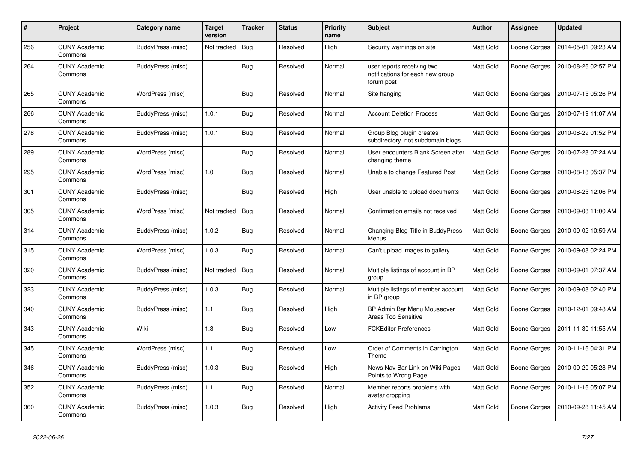| #   | Project                         | Category name            | <b>Target</b><br>version | <b>Tracker</b> | <b>Status</b> | <b>Priority</b><br>name | <b>Subject</b>                                                               | <b>Author</b>    | Assignee     | <b>Updated</b>      |
|-----|---------------------------------|--------------------------|--------------------------|----------------|---------------|-------------------------|------------------------------------------------------------------------------|------------------|--------------|---------------------|
| 256 | <b>CUNY Academic</b><br>Commons | <b>BuddyPress (misc)</b> | Not tracked              | Bug            | Resolved      | High                    | Security warnings on site                                                    | Matt Gold        | Boone Gorges | 2014-05-01 09:23 AM |
| 264 | <b>CUNY Academic</b><br>Commons | BuddyPress (misc)        |                          | Bug            | Resolved      | Normal                  | user reports receiving two<br>notifications for each new group<br>forum post | <b>Matt Gold</b> | Boone Gorges | 2010-08-26 02:57 PM |
| 265 | <b>CUNY Academic</b><br>Commons | WordPress (misc)         |                          | <b>Bug</b>     | Resolved      | Normal                  | Site hanging                                                                 | Matt Gold        | Boone Gorges | 2010-07-15 05:26 PM |
| 266 | <b>CUNY Academic</b><br>Commons | BuddyPress (misc)        | 1.0.1                    | Bug            | Resolved      | Normal                  | <b>Account Deletion Process</b>                                              | Matt Gold        | Boone Gorges | 2010-07-19 11:07 AM |
| 278 | <b>CUNY Academic</b><br>Commons | BuddyPress (misc)        | 1.0.1                    | Bug            | Resolved      | Normal                  | Group Blog plugin creates<br>subdirectory, not subdomain blogs               | Matt Gold        | Boone Gorges | 2010-08-29 01:52 PM |
| 289 | <b>CUNY Academic</b><br>Commons | WordPress (misc)         |                          | <b>Bug</b>     | Resolved      | Normal                  | User encounters Blank Screen after<br>changing theme                         | <b>Matt Gold</b> | Boone Gorges | 2010-07-28 07:24 AM |
| 295 | <b>CUNY Academic</b><br>Commons | WordPress (misc)         | 1.0                      | Bug            | Resolved      | Normal                  | Unable to change Featured Post                                               | Matt Gold        | Boone Gorges | 2010-08-18 05:37 PM |
| 301 | <b>CUNY Academic</b><br>Commons | <b>BuddyPress (misc)</b> |                          | <b>Bug</b>     | Resolved      | High                    | User unable to upload documents                                              | Matt Gold        | Boone Gorges | 2010-08-25 12:06 PM |
| 305 | <b>CUNY Academic</b><br>Commons | WordPress (misc)         | Not tracked              | Bug            | Resolved      | Normal                  | Confirmation emails not received                                             | Matt Gold        | Boone Gorges | 2010-09-08 11:00 AM |
| 314 | <b>CUNY Academic</b><br>Commons | BuddyPress (misc)        | 1.0.2                    | Bug            | Resolved      | Normal                  | Changing Blog Title in BuddyPress<br>Menus                                   | Matt Gold        | Boone Gorges | 2010-09-02 10:59 AM |
| 315 | <b>CUNY Academic</b><br>Commons | WordPress (misc)         | 1.0.3                    | <b>Bug</b>     | Resolved      | Normal                  | Can't upload images to gallery                                               | Matt Gold        | Boone Gorges | 2010-09-08 02:24 PM |
| 320 | <b>CUNY Academic</b><br>Commons | BuddyPress (misc)        | Not tracked              | Bug            | Resolved      | Normal                  | Multiple listings of account in BP<br>group                                  | Matt Gold        | Boone Gorges | 2010-09-01 07:37 AM |
| 323 | <b>CUNY Academic</b><br>Commons | BuddyPress (misc)        | 1.0.3                    | Bug            | Resolved      | Normal                  | Multiple listings of member account<br>in BP group                           | Matt Gold        | Boone Gorges | 2010-09-08 02:40 PM |
| 340 | <b>CUNY Academic</b><br>Commons | BuddyPress (misc)        | 1.1                      | Bug            | Resolved      | High                    | BP Admin Bar Menu Mouseover<br><b>Areas Too Sensitive</b>                    | Matt Gold        | Boone Gorges | 2010-12-01 09:48 AM |
| 343 | <b>CUNY Academic</b><br>Commons | Wiki                     | 1.3                      | Bug            | Resolved      | Low                     | <b>FCKEditor Preferences</b>                                                 | Matt Gold        | Boone Gorges | 2011-11-30 11:55 AM |
| 345 | <b>CUNY Academic</b><br>Commons | WordPress (misc)         | 1.1                      | <b>Bug</b>     | Resolved      | Low                     | Order of Comments in Carrington<br>Theme                                     | Matt Gold        | Boone Gorges | 2010-11-16 04:31 PM |
| 346 | <b>CUNY Academic</b><br>Commons | BuddyPress (misc)        | 1.0.3                    | Bug            | Resolved      | High                    | News Nav Bar Link on Wiki Pages<br>Points to Wrong Page                      | Matt Gold        | Boone Gorges | 2010-09-20 05:28 PM |
| 352 | <b>CUNY Academic</b><br>Commons | BuddyPress (misc)        | 1.1                      | <b>Bug</b>     | Resolved      | Normal                  | Member reports problems with<br>avatar cropping                              | Matt Gold        | Boone Gorges | 2010-11-16 05:07 PM |
| 360 | <b>CUNY Academic</b><br>Commons | BuddyPress (misc)        | 1.0.3                    | Bug            | Resolved      | High                    | <b>Activity Feed Problems</b>                                                | Matt Gold        | Boone Gorges | 2010-09-28 11:45 AM |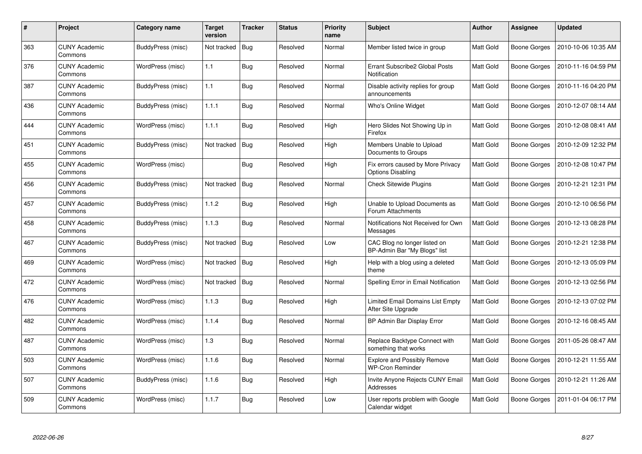| #   | Project                         | Category name     | <b>Target</b><br>version | <b>Tracker</b> | <b>Status</b> | <b>Priority</b><br>name | <b>Subject</b>                                                | <b>Author</b>    | Assignee            | <b>Updated</b>      |
|-----|---------------------------------|-------------------|--------------------------|----------------|---------------|-------------------------|---------------------------------------------------------------|------------------|---------------------|---------------------|
| 363 | <b>CUNY Academic</b><br>Commons | BuddyPress (misc) | Not tracked              | Bug            | Resolved      | Normal                  | Member listed twice in group                                  | <b>Matt Gold</b> | Boone Gorges        | 2010-10-06 10:35 AM |
| 376 | <b>CUNY Academic</b><br>Commons | WordPress (misc)  | 1.1                      | Bug            | Resolved      | Normal                  | Errant Subscribe2 Global Posts<br>Notification                | <b>Matt Gold</b> | Boone Gorges        | 2010-11-16 04:59 PM |
| 387 | <b>CUNY Academic</b><br>Commons | BuddyPress (misc) | 1.1                      | <b>Bug</b>     | Resolved      | Normal                  | Disable activity replies for group<br>announcements           | Matt Gold        | Boone Gorges        | 2010-11-16 04:20 PM |
| 436 | <b>CUNY Academic</b><br>Commons | BuddyPress (misc) | 1.1.1                    | <b>Bug</b>     | Resolved      | Normal                  | Who's Online Widget                                           | Matt Gold        | Boone Gorges        | 2010-12-07 08:14 AM |
| 444 | <b>CUNY Academic</b><br>Commons | WordPress (misc)  | 1.1.1                    | Bug            | Resolved      | High                    | Hero Slides Not Showing Up in<br>Firefox                      | Matt Gold        | Boone Gorges        | 2010-12-08 08:41 AM |
| 451 | <b>CUNY Academic</b><br>Commons | BuddyPress (misc) | Not tracked              | Bug            | Resolved      | High                    | Members Unable to Upload<br>Documents to Groups               | <b>Matt Gold</b> | <b>Boone Gorges</b> | 2010-12-09 12:32 PM |
| 455 | <b>CUNY Academic</b><br>Commons | WordPress (misc)  |                          | Bug            | Resolved      | High                    | Fix errors caused by More Privacy<br><b>Options Disabling</b> | Matt Gold        | <b>Boone Gorges</b> | 2010-12-08 10:47 PM |
| 456 | <b>CUNY Academic</b><br>Commons | BuddyPress (misc) | Not tracked              | <b>Bug</b>     | Resolved      | Normal                  | <b>Check Sitewide Plugins</b>                                 | Matt Gold        | <b>Boone Gorges</b> | 2010-12-21 12:31 PM |
| 457 | <b>CUNY Academic</b><br>Commons | BuddyPress (misc) | 1.1.2                    | Bug            | Resolved      | High                    | Unable to Upload Documents as<br>Forum Attachments            | Matt Gold        | Boone Gorges        | 2010-12-10 06:56 PM |
| 458 | <b>CUNY Academic</b><br>Commons | BuddyPress (misc) | 1.1.3                    | Bug            | Resolved      | Normal                  | Notifications Not Received for Own<br>Messages                | <b>Matt Gold</b> | Boone Gorges        | 2010-12-13 08:28 PM |
| 467 | <b>CUNY Academic</b><br>Commons | BuddyPress (misc) | Not tracked              | <b>Bug</b>     | Resolved      | Low                     | CAC Blog no longer listed on<br>BP-Admin Bar "My Blogs" list  | Matt Gold        | Boone Gorges        | 2010-12-21 12:38 PM |
| 469 | <b>CUNY Academic</b><br>Commons | WordPress (misc)  | Not tracked              | <b>Bug</b>     | Resolved      | High                    | Help with a blog using a deleted<br>theme                     | Matt Gold        | <b>Boone Gorges</b> | 2010-12-13 05:09 PM |
| 472 | <b>CUNY Academic</b><br>Commons | WordPress (misc)  | Not tracked              | Bug            | Resolved      | Normal                  | Spelling Error in Email Notification                          | Matt Gold        | Boone Gorges        | 2010-12-13 02:56 PM |
| 476 | <b>CUNY Academic</b><br>Commons | WordPress (misc)  | 1.1.3                    | Bug            | Resolved      | High                    | Limited Email Domains List Empty<br>After Site Upgrade        | Matt Gold        | Boone Gorges        | 2010-12-13 07:02 PM |
| 482 | <b>CUNY Academic</b><br>Commons | WordPress (misc)  | 1.1.4                    | <b>Bug</b>     | Resolved      | Normal                  | BP Admin Bar Display Error                                    | Matt Gold        | <b>Boone Gorges</b> | 2010-12-16 08:45 AM |
| 487 | <b>CUNY Academic</b><br>Commons | WordPress (misc)  | 1.3                      | <b>Bug</b>     | Resolved      | Normal                  | Replace Backtype Connect with<br>something that works         | Matt Gold        | <b>Boone Gorges</b> | 2011-05-26 08:47 AM |
| 503 | <b>CUNY Academic</b><br>Commons | WordPress (misc)  | 1.1.6                    | Bug            | Resolved      | Normal                  | <b>Explore and Possibly Remove</b><br><b>WP-Cron Reminder</b> | Matt Gold        | Boone Gorges        | 2010-12-21 11:55 AM |
| 507 | <b>CUNY Academic</b><br>Commons | BuddyPress (misc) | 1.1.6                    | <b>Bug</b>     | Resolved      | High                    | Invite Anyone Rejects CUNY Email<br>Addresses                 | Matt Gold        | <b>Boone Gorges</b> | 2010-12-21 11:26 AM |
| 509 | <b>CUNY Academic</b><br>Commons | WordPress (misc)  | 1.1.7                    | <b>Bug</b>     | Resolved      | Low                     | User reports problem with Google<br>Calendar widget           | Matt Gold        | Boone Gorges        | 2011-01-04 06:17 PM |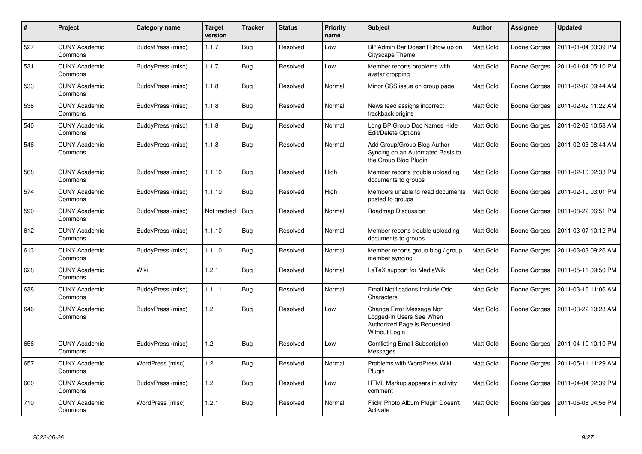| #   | Project                         | Category name            | <b>Target</b><br>version | <b>Tracker</b> | <b>Status</b> | <b>Priority</b><br>name | <b>Subject</b>                                                                                        | <b>Author</b>    | <b>Assignee</b>     | <b>Updated</b>      |
|-----|---------------------------------|--------------------------|--------------------------|----------------|---------------|-------------------------|-------------------------------------------------------------------------------------------------------|------------------|---------------------|---------------------|
| 527 | <b>CUNY Academic</b><br>Commons | BuddyPress (misc)        | 1.1.7                    | Bug            | Resolved      | Low                     | BP Admin Bar Doesn't Show up on<br>Cityscape Theme                                                    | <b>Matt Gold</b> | Boone Gorges        | 2011-01-04 03:39 PM |
| 531 | <b>CUNY Academic</b><br>Commons | BuddyPress (misc)        | 1.1.7                    | <b>Bug</b>     | Resolved      | Low                     | Member reports problems with<br>avatar cropping                                                       | Matt Gold        | Boone Gorges        | 2011-01-04 05:10 PM |
| 533 | <b>CUNY Academic</b><br>Commons | BuddyPress (misc)        | 1.1.8                    | Bug            | Resolved      | Normal                  | Minor CSS issue on group page                                                                         | Matt Gold        | Boone Gorges        | 2011-02-02 09:44 AM |
| 538 | <b>CUNY Academic</b><br>Commons | <b>BuddyPress (misc)</b> | 1.1.8                    | <b>Bug</b>     | Resolved      | Normal                  | News feed assigns incorrect<br>trackback origins                                                      | Matt Gold        | Boone Gorges        | 2011-02-02 11:22 AM |
| 540 | <b>CUNY Academic</b><br>Commons | BuddyPress (misc)        | 1.1.8                    | <b>Bug</b>     | Resolved      | Normal                  | Long BP Group Doc Names Hide<br>Edit/Delete Options                                                   | Matt Gold        | Boone Gorges        | 2011-02-02 10:58 AM |
| 546 | <b>CUNY Academic</b><br>Commons | BuddyPress (misc)        | 1.1.8                    | Bug            | Resolved      | Normal                  | Add Group/Group Blog Author<br>Syncing on an Automated Basis to<br>the Group Blog Plugin              | Matt Gold        | Boone Gorges        | 2011-02-03 08:44 AM |
| 568 | <b>CUNY Academic</b><br>Commons | BuddyPress (misc)        | 1.1.10                   | <b>Bug</b>     | Resolved      | High                    | Member reports trouble uploading<br>documents to groups                                               | Matt Gold        | Boone Gorges        | 2011-02-10 02:33 PM |
| 574 | <b>CUNY Academic</b><br>Commons | BuddyPress (misc)        | 1.1.10                   | Bug            | Resolved      | High                    | Members unable to read documents<br>posted to groups                                                  | Matt Gold        | <b>Boone Gorges</b> | 2011-02-10 03:01 PM |
| 590 | <b>CUNY Academic</b><br>Commons | <b>BuddyPress (misc)</b> | Not tracked              | Bug            | Resolved      | Normal                  | Roadmap Discussion                                                                                    | Matt Gold        | Boone Gorges        | 2011-08-22 06:51 PM |
| 612 | <b>CUNY Academic</b><br>Commons | BuddyPress (misc)        | 1.1.10                   | Bug            | Resolved      | Normal                  | Member reports trouble uploading<br>documents to groups                                               | Matt Gold        | Boone Gorges        | 2011-03-07 10:12 PM |
| 613 | <b>CUNY Academic</b><br>Commons | BuddyPress (misc)        | 1.1.10                   | Bug            | Resolved      | Normal                  | Member reports group blog / group<br>member syncing                                                   | Matt Gold        | Boone Gorges        | 2011-03-03 09:26 AM |
| 628 | <b>CUNY Academic</b><br>Commons | Wiki                     | 1.2.1                    | Bug            | Resolved      | Normal                  | LaTeX support for MediaWiki                                                                           | Matt Gold        | Boone Gorges        | 2011-05-11 09:50 PM |
| 638 | <b>CUNY Academic</b><br>Commons | BuddyPress (misc)        | 1.1.11                   | Bug            | Resolved      | Normal                  | Email Notifications Include Odd<br>Characters                                                         | Matt Gold        | Boone Gorges        | 2011-03-16 11:06 AM |
| 646 | <b>CUNY Academic</b><br>Commons | BuddyPress (misc)        | 1.2                      | Bug            | Resolved      | Low                     | Change Error Message Non<br>Logged-In Users See When<br>Authorized Page is Requested<br>Without Login | Matt Gold        | Boone Gorges        | 2011-03-22 10:28 AM |
| 656 | <b>CUNY Academic</b><br>Commons | BuddyPress (misc)        | 1.2                      | <b>Bug</b>     | Resolved      | Low                     | Conflicting Email Subscription<br>Messages                                                            | Matt Gold        | Boone Gorges        | 2011-04-10 10:10 PM |
| 657 | <b>CUNY Academic</b><br>Commons | WordPress (misc)         | 1.2.1                    | Bug            | Resolved      | Normal                  | Problems with WordPress Wiki<br>Plugin                                                                | Matt Gold        | Boone Gorges        | 2011-05-11 11:29 AM |
| 660 | <b>CUNY Academic</b><br>Commons | BuddyPress (misc)        | 1.2                      | Bug            | Resolved      | Low                     | HTML Markup appears in activity<br>comment                                                            | Matt Gold        | Boone Gorges        | 2011-04-04 02:39 PM |
| 710 | <b>CUNY Academic</b><br>Commons | WordPress (misc)         | 1.2.1                    | <b>Bug</b>     | Resolved      | Normal                  | Flickr Photo Album Plugin Doesn't<br>Activate                                                         | Matt Gold        | Boone Gorges        | 2011-05-08 04:56 PM |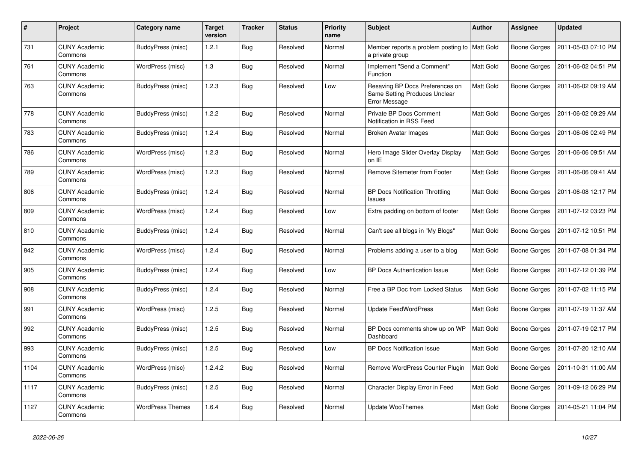| #    | Project                         | Category name           | Target<br>version | <b>Tracker</b> | <b>Status</b> | <b>Priority</b><br>name | <b>Subject</b>                                                                           | Author           | <b>Assignee</b>     | <b>Updated</b>      |
|------|---------------------------------|-------------------------|-------------------|----------------|---------------|-------------------------|------------------------------------------------------------------------------------------|------------------|---------------------|---------------------|
| 731  | <b>CUNY Academic</b><br>Commons | BuddyPress (misc)       | 1.2.1             | Bug            | Resolved      | Normal                  | Member reports a problem posting to   Matt Gold<br>a private group                       |                  | Boone Gorges        | 2011-05-03 07:10 PM |
| 761  | <b>CUNY Academic</b><br>Commons | WordPress (misc)        | 1.3               | <b>Bug</b>     | Resolved      | Normal                  | Implement "Send a Comment"<br>Function                                                   | <b>Matt Gold</b> | Boone Gorges        | 2011-06-02 04:51 PM |
| 763  | <b>CUNY Academic</b><br>Commons | BuddyPress (misc)       | 1.2.3             | Bug            | Resolved      | Low                     | Resaving BP Docs Preferences on<br>Same Setting Produces Unclear<br><b>Error Message</b> | Matt Gold        | Boone Gorges        | 2011-06-02 09:19 AM |
| 778  | <b>CUNY Academic</b><br>Commons | BuddyPress (misc)       | 1.2.2             | Bug            | Resolved      | Normal                  | Private BP Docs Comment<br>Notification in RSS Feed                                      | Matt Gold        | Boone Gorges        | 2011-06-02 09:29 AM |
| 783  | <b>CUNY Academic</b><br>Commons | BuddyPress (misc)       | 1.2.4             | Bug            | Resolved      | Normal                  | Broken Avatar Images                                                                     | <b>Matt Gold</b> | Boone Gorges        | 2011-06-06 02:49 PM |
| 786  | <b>CUNY Academic</b><br>Commons | WordPress (misc)        | 1.2.3             | <b>Bug</b>     | Resolved      | Normal                  | Hero Image Slider Overlay Display<br>on IE                                               | <b>Matt Gold</b> | Boone Gorges        | 2011-06-06 09:51 AM |
| 789  | <b>CUNY Academic</b><br>Commons | WordPress (misc)        | 1.2.3             | <b>Bug</b>     | Resolved      | Normal                  | Remove Sitemeter from Footer                                                             | <b>Matt Gold</b> | Boone Gorges        | 2011-06-06 09:41 AM |
| 806  | <b>CUNY Academic</b><br>Commons | BuddyPress (misc)       | 1.2.4             | Bug            | Resolved      | Normal                  | <b>BP Docs Notification Throttling</b><br>Issues                                         | Matt Gold        | Boone Gorges        | 2011-06-08 12:17 PM |
| 809  | <b>CUNY Academic</b><br>Commons | WordPress (misc)        | 1.2.4             | <b>Bug</b>     | Resolved      | Low                     | Extra padding on bottom of footer                                                        | Matt Gold        | Boone Gorges        | 2011-07-12 03:23 PM |
| 810  | <b>CUNY Academic</b><br>Commons | BuddyPress (misc)       | 1.2.4             | Bug            | Resolved      | Normal                  | Can't see all blogs in "My Blogs"                                                        | Matt Gold        | Boone Gorges        | 2011-07-12 10:51 PM |
| 842  | <b>CUNY Academic</b><br>Commons | WordPress (misc)        | 1.2.4             | <b>Bug</b>     | Resolved      | Normal                  | Problems adding a user to a blog                                                         | Matt Gold        | Boone Gorges        | 2011-07-08 01:34 PM |
| 905  | <b>CUNY Academic</b><br>Commons | BuddyPress (misc)       | 1.2.4             | <b>Bug</b>     | Resolved      | Low                     | BP Docs Authentication Issue                                                             | <b>Matt Gold</b> | <b>Boone Gorges</b> | 2011-07-12 01:39 PM |
| 908  | <b>CUNY Academic</b><br>Commons | BuddyPress (misc)       | 1.2.4             | Bug            | Resolved      | Normal                  | Free a BP Doc from Locked Status                                                         | Matt Gold        | Boone Gorges        | 2011-07-02 11:15 PM |
| 991  | <b>CUNY Academic</b><br>Commons | WordPress (misc)        | 1.2.5             | <b>Bug</b>     | Resolved      | Normal                  | <b>Update FeedWordPress</b>                                                              | Matt Gold        | Boone Gorges        | 2011-07-19 11:37 AM |
| 992  | <b>CUNY Academic</b><br>Commons | BuddyPress (misc)       | 1.2.5             | <b>Bug</b>     | Resolved      | Normal                  | BP Docs comments show up on WP<br>Dashboard                                              | <b>Matt Gold</b> | Boone Gorges        | 2011-07-19 02:17 PM |
| 993  | <b>CUNY Academic</b><br>Commons | BuddyPress (misc)       | 1.2.5             | Bug            | Resolved      | Low                     | <b>BP Docs Notification Issue</b>                                                        | Matt Gold        | Boone Gorges        | 2011-07-20 12:10 AM |
| 1104 | <b>CUNY Academic</b><br>Commons | WordPress (misc)        | 1.2.4.2           | <b>Bug</b>     | Resolved      | Normal                  | Remove WordPress Counter Plugin                                                          | Matt Gold        | Boone Gorges        | 2011-10-31 11:00 AM |
| 1117 | <b>CUNY Academic</b><br>Commons | BuddyPress (misc)       | 1.2.5             | Bug            | Resolved      | Normal                  | Character Display Error in Feed                                                          | Matt Gold        | Boone Gorges        | 2011-09-12 06:29 PM |
| 1127 | <b>CUNY Academic</b><br>Commons | <b>WordPress Themes</b> | 1.6.4             | Bug            | Resolved      | Normal                  | <b>Update WooThemes</b>                                                                  | <b>Matt Gold</b> | Boone Gorges        | 2014-05-21 11:04 PM |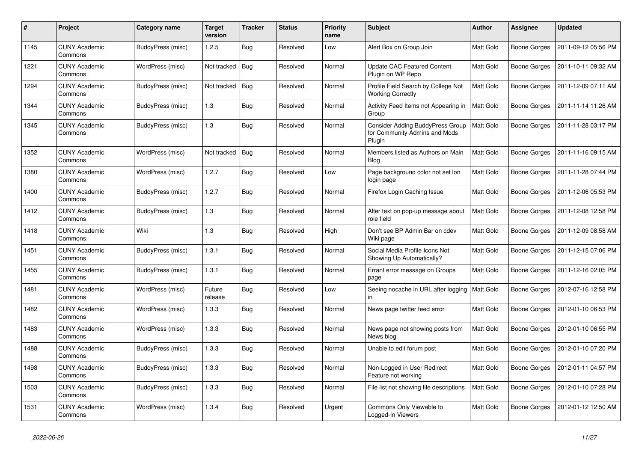| $\#$ | Project                         | Category name            | <b>Target</b><br>version | <b>Tracker</b> | <b>Status</b> | <b>Priority</b><br>name | <b>Subject</b>                                                              | <b>Author</b>    | <b>Assignee</b> | <b>Updated</b>      |
|------|---------------------------------|--------------------------|--------------------------|----------------|---------------|-------------------------|-----------------------------------------------------------------------------|------------------|-----------------|---------------------|
| 1145 | <b>CUNY Academic</b><br>Commons | BuddyPress (misc)        | 1.2.5                    | <b>Bug</b>     | Resolved      | Low                     | Alert Box on Group Join                                                     | <b>Matt Gold</b> | Boone Gorges    | 2011-09-12 05:56 PM |
| 1221 | <b>CUNY Academic</b><br>Commons | WordPress (misc)         | Not tracked              | <b>Bug</b>     | Resolved      | Normal                  | Update CAC Featured Content<br>Plugin on WP Repo                            | Matt Gold        | Boone Gorges    | 2011-10-11 09:32 AM |
| 1294 | <b>CUNY Academic</b><br>Commons | BuddyPress (misc)        | Not tracked              | <b>Bug</b>     | Resolved      | Normal                  | Profile Field Search by College Not<br><b>Working Correctly</b>             | Matt Gold        | Boone Gorges    | 2011-12-09 07:11 AM |
| 1344 | <b>CUNY Academic</b><br>Commons | BuddyPress (misc)        | 1.3                      | <b>Bug</b>     | Resolved      | Normal                  | Activity Feed Items not Appearing in<br>Group                               | Matt Gold        | Boone Gorges    | 2011-11-14 11:26 AM |
| 1345 | <b>CUNY Academic</b><br>Commons | BuddyPress (misc)        | 1.3                      | Bug            | Resolved      | Normal                  | Consider Adding BuddyPress Group<br>for Community Admins and Mods<br>Plugin | <b>Matt Gold</b> | Boone Gorges    | 2011-11-28 03:17 PM |
| 1352 | <b>CUNY Academic</b><br>Commons | WordPress (misc)         | Not tracked              | Bug            | Resolved      | Normal                  | Members listed as Authors on Main<br><b>Blog</b>                            | <b>Matt Gold</b> | Boone Gorges    | 2011-11-16 09:15 AM |
| 1380 | <b>CUNY Academic</b><br>Commons | WordPress (misc)         | 1.2.7                    | <b>Bug</b>     | Resolved      | Low                     | Page background color not set lon<br>login page                             | Matt Gold        | Boone Gorges    | 2011-11-28 07:44 PM |
| 1400 | <b>CUNY Academic</b><br>Commons | BuddyPress (misc)        | 1.2.7                    | <b>Bug</b>     | Resolved      | Normal                  | Firefox Login Caching Issue                                                 | Matt Gold        | Boone Gorges    | 2011-12-06 05:53 PM |
| 1412 | <b>CUNY Academic</b><br>Commons | BuddyPress (misc)        | 1.3                      | <b>Bug</b>     | Resolved      | Normal                  | Alter text on pop-up message about<br>role field                            | Matt Gold        | Boone Gorges    | 2011-12-08 12:58 PM |
| 1418 | <b>CUNY Academic</b><br>Commons | Wiki                     | 1.3                      | <b>Bug</b>     | Resolved      | High                    | Don't see BP Admin Bar on cdev<br>Wiki page                                 | Matt Gold        | Boone Gorges    | 2011-12-09 08:58 AM |
| 1451 | <b>CUNY Academic</b><br>Commons | <b>BuddyPress (misc)</b> | 1.3.1                    | Bug            | Resolved      | Normal                  | Social Media Profile Icons Not<br>Showing Up Automatically?                 | Matt Gold        | Boone Gorges    | 2011-12-15 07:06 PM |
| 1455 | <b>CUNY Academic</b><br>Commons | BuddyPress (misc)        | 1.3.1                    | Bug            | Resolved      | Normal                  | Errant error message on Groups<br>page                                      | Matt Gold        | Boone Gorges    | 2011-12-16 02:05 PM |
| 1481 | <b>CUNY Academic</b><br>Commons | WordPress (misc)         | Future<br>release        | Bug            | Resolved      | Low                     | Seeing nocache in URL after logging<br>in                                   | Matt Gold        | Boone Gorges    | 2012-07-16 12:58 PM |
| 1482 | <b>CUNY Academic</b><br>Commons | WordPress (misc)         | 1.3.3                    | Bug            | Resolved      | Normal                  | News page twitter feed error                                                | Matt Gold        | Boone Gorges    | 2012-01-10 06:53 PM |
| 1483 | <b>CUNY Academic</b><br>Commons | WordPress (misc)         | 1.3.3                    | Bug            | Resolved      | Normal                  | News page not showing posts from<br>News blog                               | Matt Gold        | Boone Gorges    | 2012-01-10 06:55 PM |
| 1488 | <b>CUNY Academic</b><br>Commons | BuddyPress (misc)        | 1.3.3                    | Bug            | Resolved      | Normal                  | Unable to edit forum post                                                   | Matt Gold        | Boone Gorges    | 2012-01-10 07:20 PM |
| 1498 | <b>CUNY Academic</b><br>Commons | BuddyPress (misc)        | 1.3.3                    | <b>Bug</b>     | Resolved      | Normal                  | Non-Logged in User Redirect<br>Feature not working                          | Matt Gold        | Boone Gorges    | 2012-01-11 04:57 PM |
| 1503 | <b>CUNY Academic</b><br>Commons | BuddyPress (misc)        | 1.3.3                    | Bug            | Resolved      | Normal                  | File list not showing file descriptions                                     | Matt Gold        | Boone Gorges    | 2012-01-10 07:28 PM |
| 1531 | <b>CUNY Academic</b><br>Commons | WordPress (misc)         | 1.3.4                    | Bug            | Resolved      | Urgent                  | Commons Only Viewable to<br>Logged-In Viewers                               | Matt Gold        | Boone Gorges    | 2012-01-12 12:50 AM |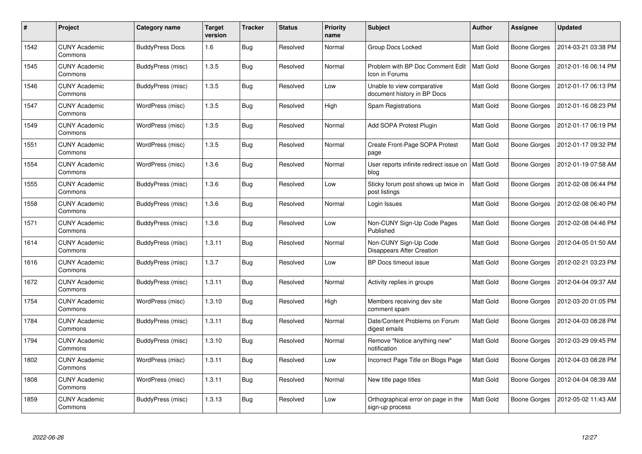| $\#$ | Project                         | Category name          | <b>Target</b><br>version | Tracker    | <b>Status</b> | <b>Priority</b><br>name | <b>Subject</b>                                            | <b>Author</b> | Assignee     | <b>Updated</b>      |
|------|---------------------------------|------------------------|--------------------------|------------|---------------|-------------------------|-----------------------------------------------------------|---------------|--------------|---------------------|
| 1542 | <b>CUNY Academic</b><br>Commons | <b>BuddyPress Docs</b> | 1.6                      | <b>Bug</b> | Resolved      | Normal                  | Group Docs Locked                                         | Matt Gold     | Boone Gorges | 2014-03-21 03:38 PM |
| 1545 | <b>CUNY Academic</b><br>Commons | BuddyPress (misc)      | 1.3.5                    | Bug        | Resolved      | Normal                  | Problem with BP Doc Comment Edit<br>Icon in Forums        | Matt Gold     | Boone Gorges | 2012-01-16 06:14 PM |
| 1546 | <b>CUNY Academic</b><br>Commons | BuddyPress (misc)      | 1.3.5                    | <b>Bug</b> | Resolved      | Low                     | Unable to view comparative<br>document history in BP Docs | Matt Gold     | Boone Gorges | 2012-01-17 06:13 PM |
| 1547 | <b>CUNY Academic</b><br>Commons | WordPress (misc)       | 1.3.5                    | Bug        | Resolved      | High                    | Spam Registrations                                        | Matt Gold     | Boone Gorges | 2012-01-16 08:23 PM |
| 1549 | <b>CUNY Academic</b><br>Commons | WordPress (misc)       | 1.3.5                    | Bug        | Resolved      | Normal                  | Add SOPA Protest Plugin                                   | Matt Gold     | Boone Gorges | 2012-01-17 06:19 PM |
| 1551 | <b>CUNY Academic</b><br>Commons | WordPress (misc)       | 1.3.5                    | Bug        | Resolved      | Normal                  | Create Front-Page SOPA Protest<br>page                    | Matt Gold     | Boone Gorges | 2012-01-17 09:32 PM |
| 1554 | <b>CUNY Academic</b><br>Commons | WordPress (misc)       | 1.3.6                    | <b>Bug</b> | Resolved      | Normal                  | User reports infinite redirect issue on<br>blog           | Matt Gold     | Boone Gorges | 2012-01-19 07:58 AM |
| 1555 | <b>CUNY Academic</b><br>Commons | BuddyPress (misc)      | 1.3.6                    | Bug        | Resolved      | Low                     | Sticky forum post shows up twice in<br>post listings      | Matt Gold     | Boone Gorges | 2012-02-08 06:44 PM |
| 1558 | <b>CUNY Academic</b><br>Commons | BuddyPress (misc)      | 1.3.6                    | Bug        | Resolved      | Normal                  | Login Issues                                              | Matt Gold     | Boone Gorges | 2012-02-08 06:40 PM |
| 1571 | <b>CUNY Academic</b><br>Commons | BuddyPress (misc)      | 1.3.6                    | Bug        | Resolved      | Low                     | Non-CUNY Sign-Up Code Pages<br>Published                  | Matt Gold     | Boone Gorges | 2012-02-08 04:46 PM |
| 1614 | <b>CUNY Academic</b><br>Commons | BuddyPress (misc)      | 1.3.11                   | Bug        | Resolved      | Normal                  | Non-CUNY Sign-Up Code<br><b>Disappears After Creation</b> | Matt Gold     | Boone Gorges | 2012-04-05 01:50 AM |
| 1616 | <b>CUNY Academic</b><br>Commons | BuddyPress (misc)      | 1.3.7                    | Bug        | Resolved      | Low                     | <b>BP Docs timeout issue</b>                              | Matt Gold     | Boone Gorges | 2012-02-21 03:23 PM |
| 1672 | <b>CUNY Academic</b><br>Commons | BuddyPress (misc)      | 1.3.11                   | Bug        | Resolved      | Normal                  | Activity replies in groups                                | Matt Gold     | Boone Gorges | 2012-04-04 09:37 AM |
| 1754 | <b>CUNY Academic</b><br>Commons | WordPress (misc)       | 1.3.10                   | Bug        | Resolved      | High                    | Members receiving dev site<br>comment spam                | Matt Gold     | Boone Gorges | 2012-03-20 01:05 PM |
| 1784 | <b>CUNY Academic</b><br>Commons | BuddyPress (misc)      | 1.3.11                   | <b>Bug</b> | Resolved      | Normal                  | Date/Content Problems on Forum<br>digest emails           | Matt Gold     | Boone Gorges | 2012-04-03 08:28 PM |
| 1794 | <b>CUNY Academic</b><br>Commons | BuddyPress (misc)      | 1.3.10                   | Bug        | Resolved      | Normal                  | Remove "Notice anything new"<br>notification              | Matt Gold     | Boone Gorges | 2012-03-29 09:45 PM |
| 1802 | <b>CUNY Academic</b><br>Commons | WordPress (misc)       | 1.3.11                   | Bug        | Resolved      | Low                     | Incorrect Page Title on Blogs Page                        | Matt Gold     | Boone Gorges | 2012-04-03 08:28 PM |
| 1808 | <b>CUNY Academic</b><br>Commons | WordPress (misc)       | 1.3.11                   | Bug        | Resolved      | Normal                  | New title page titles                                     | Matt Gold     | Boone Gorges | 2012-04-04 08:39 AM |
| 1859 | <b>CUNY Academic</b><br>Commons | BuddyPress (misc)      | 1.3.13                   | <b>Bug</b> | Resolved      | Low                     | Orthographical error on page in the<br>sign-up process    | Matt Gold     | Boone Gorges | 2012-05-02 11:43 AM |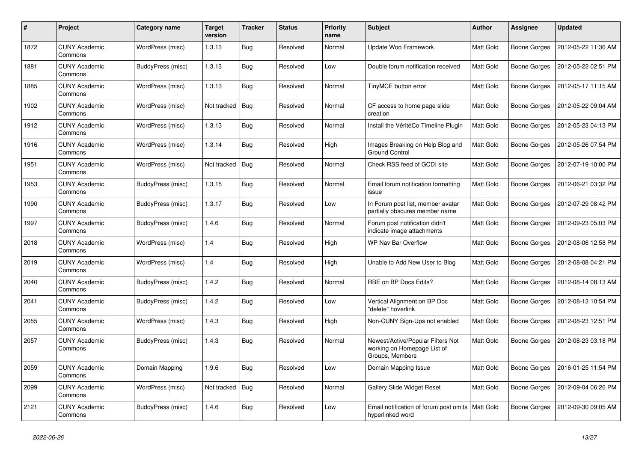| #    | Project                         | Category name     | <b>Target</b><br>version | <b>Tracker</b> | <b>Status</b> | <b>Priority</b><br>name | <b>Subject</b>                                                                      | <b>Author</b>    | Assignee            | <b>Updated</b>      |
|------|---------------------------------|-------------------|--------------------------|----------------|---------------|-------------------------|-------------------------------------------------------------------------------------|------------------|---------------------|---------------------|
| 1872 | <b>CUNY Academic</b><br>Commons | WordPress (misc)  | 1.3.13                   | <b>Bug</b>     | Resolved      | Normal                  | <b>Update Woo Framework</b>                                                         | <b>Matt Gold</b> | <b>Boone Gorges</b> | 2012-05-22 11:36 AM |
| 1881 | <b>CUNY Academic</b><br>Commons | BuddyPress (misc) | 1.3.13                   | <b>Bug</b>     | Resolved      | Low                     | Double forum notification received                                                  | Matt Gold        | <b>Boone Gorges</b> | 2012-05-22 02:51 PM |
| 1885 | <b>CUNY Academic</b><br>Commons | WordPress (misc)  | 1.3.13                   | <b>Bug</b>     | Resolved      | Normal                  | TinyMCE button error                                                                | Matt Gold        | Boone Gorges        | 2012-05-17 11:15 AM |
| 1902 | <b>CUNY Academic</b><br>Commons | WordPress (misc)  | Not tracked              | <b>Bug</b>     | Resolved      | Normal                  | CF access to home page slide<br>creation                                            | Matt Gold        | Boone Gorges        | 2012-05-22 09:04 AM |
| 1912 | <b>CUNY Academic</b><br>Commons | WordPress (misc)  | 1.3.13                   | Bug            | Resolved      | Normal                  | Install the VéritéCo Timeline Plugin                                                | Matt Gold        | <b>Boone Gorges</b> | 2012-05-23 04:13 PM |
| 1916 | <b>CUNY Academic</b><br>Commons | WordPress (misc)  | 1.3.14                   | <b>Bug</b>     | Resolved      | High                    | Images Breaking on Help Blog and<br><b>Ground Control</b>                           | Matt Gold        | <b>Boone Gorges</b> | 2012-05-26 07:54 PM |
| 1951 | <b>CUNY Academic</b><br>Commons | WordPress (misc)  | Not tracked              | Bug            | Resolved      | Normal                  | Check RSS feed of GCDI site                                                         | Matt Gold        | <b>Boone Gorges</b> | 2012-07-19 10:00 PM |
| 1953 | <b>CUNY Academic</b><br>Commons | BuddyPress (misc) | 1.3.15                   | Bug            | Resolved      | Normal                  | Email forum notification formatting<br>issue                                        | Matt Gold        | <b>Boone Gorges</b> | 2012-06-21 03:32 PM |
| 1990 | CUNY Academic<br>Commons        | BuddyPress (misc) | 1.3.17                   | <b>Bug</b>     | Resolved      | Low                     | In Forum post list, member avatar<br>partially obscures member name                 | Matt Gold        | Boone Gorges        | 2012-07-29 08:42 PM |
| 1997 | <b>CUNY Academic</b><br>Commons | BuddyPress (misc) | 1.4.6                    | <b>Bug</b>     | Resolved      | Normal                  | Forum post notification didn't<br>indicate image attachments                        | Matt Gold        | <b>Boone Gorges</b> | 2012-09-23 05:03 PM |
| 2018 | <b>CUNY Academic</b><br>Commons | WordPress (misc)  | 1.4                      | Bug            | Resolved      | High                    | WP Nav Bar Overflow                                                                 | Matt Gold        | Boone Gorges        | 2012-08-06 12:58 PM |
| 2019 | <b>CUNY Academic</b><br>Commons | WordPress (misc)  | 1.4                      | Bug            | Resolved      | High                    | Unable to Add New User to Blog                                                      | Matt Gold        | Boone Gorges        | 2012-08-08 04:21 PM |
| 2040 | <b>CUNY Academic</b><br>Commons | BuddyPress (misc) | 1.4.2                    | <b>Bug</b>     | Resolved      | Normal                  | RBE on BP Docs Edits?                                                               | Matt Gold        | Boone Gorges        | 2012-08-14 08:13 AM |
| 2041 | <b>CUNY Academic</b><br>Commons | BuddyPress (misc) | 1.4.2                    | <b>Bug</b>     | Resolved      | Low                     | Vertical Alignment on BP Doc<br>"delete" hoverlink                                  | Matt Gold        | Boone Gorges        | 2012-08-13 10:54 PM |
| 2055 | <b>CUNY Academic</b><br>Commons | WordPress (misc)  | 1.4.3                    | <b>Bug</b>     | Resolved      | High                    | Non-CUNY Sign-Ups not enabled                                                       | Matt Gold        | <b>Boone Gorges</b> | 2012-08-23 12:51 PM |
| 2057 | <b>CUNY Academic</b><br>Commons | BuddyPress (misc) | 1.4.3                    | <b>Bug</b>     | Resolved      | Normal                  | Newest/Active/Popular Filters Not<br>working on Homepage List of<br>Groups, Members | Matt Gold        | <b>Boone Gorges</b> | 2012-08-23 03:18 PM |
| 2059 | <b>CUNY Academic</b><br>Commons | Domain Mapping    | 1.9.6                    | Bug            | Resolved      | Low                     | Domain Mapping Issue                                                                | Matt Gold        | Boone Gorges        | 2016-01-25 11:54 PM |
| 2099 | <b>CUNY Academic</b><br>Commons | WordPress (misc)  | Not tracked              | Bug            | Resolved      | Normal                  | <b>Gallery Slide Widget Reset</b>                                                   | <b>Matt Gold</b> | Boone Gorges        | 2012-09-04 06:26 PM |
| 2121 | <b>CUNY Academic</b><br>Commons | BuddyPress (misc) | 1.4.6                    | Bug            | Resolved      | Low                     | Email notification of forum post omits   Matt Gold<br>hyperlinked word              |                  | Boone Gorges        | 2012-09-30 09:05 AM |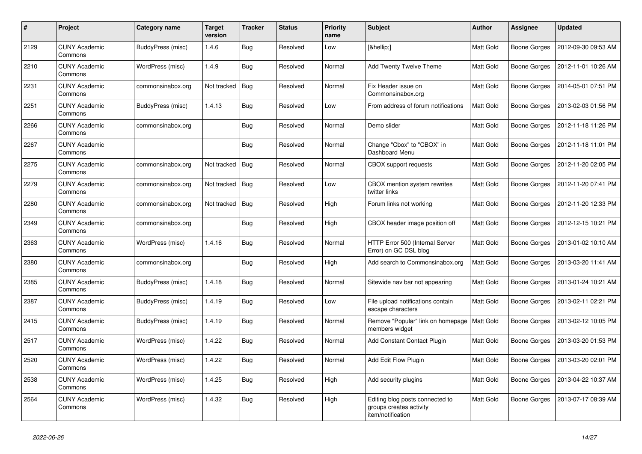| #    | Project                         | Category name     | <b>Target</b><br>version | <b>Tracker</b> | <b>Status</b> | <b>Priority</b><br>name | <b>Subject</b>                                                                  | <b>Author</b>    | Assignee     | <b>Updated</b>      |
|------|---------------------------------|-------------------|--------------------------|----------------|---------------|-------------------------|---------------------------------------------------------------------------------|------------------|--------------|---------------------|
| 2129 | <b>CUNY Academic</b><br>Commons | BuddyPress (misc) | 1.4.6                    | Bug            | Resolved      | Low                     | […]                                                                             | <b>Matt Gold</b> | Boone Gorges | 2012-09-30 09:53 AM |
| 2210 | <b>CUNY Academic</b><br>Commons | WordPress (misc)  | 1.4.9                    | Bug            | Resolved      | Normal                  | <b>Add Twenty Twelve Theme</b>                                                  | Matt Gold        | Boone Gorges | 2012-11-01 10:26 AM |
| 2231 | <b>CUNY Academic</b><br>Commons | commonsinabox.org | Not tracked              | Bug            | Resolved      | Normal                  | Fix Header issue on<br>Commonsinabox.org                                        | Matt Gold        | Boone Gorges | 2014-05-01 07:51 PM |
| 2251 | <b>CUNY Academic</b><br>Commons | BuddyPress (misc) | 1.4.13                   | <b>Bug</b>     | Resolved      | Low                     | From address of forum notifications                                             | <b>Matt Gold</b> | Boone Gorges | 2013-02-03 01:56 PM |
| 2266 | <b>CUNY Academic</b><br>Commons | commonsinabox.org |                          | <b>Bug</b>     | Resolved      | Normal                  | Demo slider                                                                     | Matt Gold        | Boone Gorges | 2012-11-18 11:26 PM |
| 2267 | <b>CUNY Academic</b><br>Commons |                   |                          | Bug            | Resolved      | Normal                  | Change "Cbox" to "CBOX" in<br>Dashboard Menu                                    | Matt Gold        | Boone Gorges | 2012-11-18 11:01 PM |
| 2275 | <b>CUNY Academic</b><br>Commons | commonsinabox.org | Not tracked              | Bug            | Resolved      | Normal                  | <b>CBOX</b> support requests                                                    | Matt Gold        | Boone Gorges | 2012-11-20 02:05 PM |
| 2279 | <b>CUNY Academic</b><br>Commons | commonsinabox.org | Not tracked              | Bug            | Resolved      | Low                     | CBOX mention system rewrites<br>twitter links                                   | Matt Gold        | Boone Gorges | 2012-11-20 07:41 PM |
| 2280 | <b>CUNY Academic</b><br>Commons | commonsinabox.org | Not tracked              | Bug            | Resolved      | High                    | Forum links not working                                                         | Matt Gold        | Boone Gorges | 2012-11-20 12:33 PM |
| 2349 | <b>CUNY Academic</b><br>Commons | commonsinabox.org |                          | <b>Bug</b>     | Resolved      | High                    | CBOX header image position off                                                  | Matt Gold        | Boone Gorges | 2012-12-15 10:21 PM |
| 2363 | <b>CUNY Academic</b><br>Commons | WordPress (misc)  | 1.4.16                   | <b>Bug</b>     | Resolved      | Normal                  | HTTP Error 500 (Internal Server<br>Error) on GC DSL blog                        | Matt Gold        | Boone Gorges | 2013-01-02 10:10 AM |
| 2380 | <b>CUNY Academic</b><br>Commons | commonsinabox.org |                          | Bug            | Resolved      | High                    | Add search to Commonsinabox.org                                                 | <b>Matt Gold</b> | Boone Gorges | 2013-03-20 11:41 AM |
| 2385 | <b>CUNY Academic</b><br>Commons | BuddyPress (misc) | 1.4.18                   | <b>Bug</b>     | Resolved      | Normal                  | Sitewide nav bar not appearing                                                  | Matt Gold        | Boone Gorges | 2013-01-24 10:21 AM |
| 2387 | <b>CUNY Academic</b><br>Commons | BuddyPress (misc) | 1.4.19                   | <b>Bug</b>     | Resolved      | Low                     | File upload notifications contain<br>escape characters                          | Matt Gold        | Boone Gorges | 2013-02-11 02:21 PM |
| 2415 | <b>CUNY Academic</b><br>Commons | BuddyPress (misc) | 1.4.19                   | Bug            | Resolved      | Normal                  | Remove "Popular" link on homepage<br>members widget                             | Matt Gold        | Boone Gorges | 2013-02-12 10:05 PM |
| 2517 | <b>CUNY Academic</b><br>Commons | WordPress (misc)  | 1.4.22                   | <b>Bug</b>     | Resolved      | Normal                  | <b>Add Constant Contact Plugin</b>                                              | Matt Gold        | Boone Gorges | 2013-03-20 01:53 PM |
| 2520 | <b>CUNY Academic</b><br>Commons | WordPress (misc)  | 1.4.22                   | <b>Bug</b>     | Resolved      | Normal                  | Add Edit Flow Plugin                                                            | <b>Matt Gold</b> | Boone Gorges | 2013-03-20 02:01 PM |
| 2538 | <b>CUNY Academic</b><br>Commons | WordPress (misc)  | 1.4.25                   | Bug            | Resolved      | High                    | Add security plugins                                                            | Matt Gold        | Boone Gorges | 2013-04-22 10:37 AM |
| 2564 | <b>CUNY Academic</b><br>Commons | WordPress (misc)  | 1.4.32                   | <b>Bug</b>     | Resolved      | High                    | Editing blog posts connected to<br>groups creates activity<br>item/notification | Matt Gold        | Boone Gorges | 2013-07-17 08:39 AM |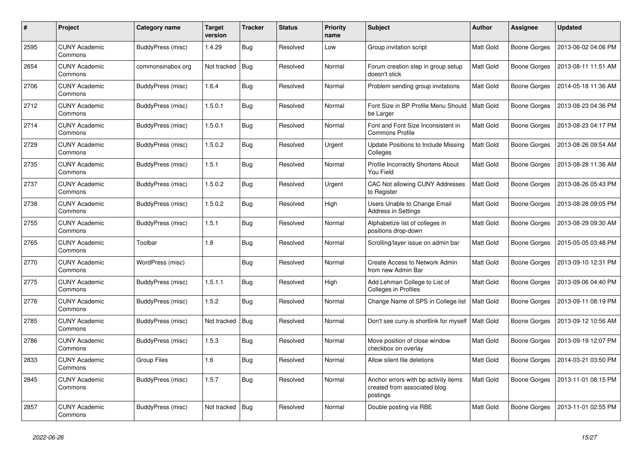| #    | Project                         | Category name            | <b>Target</b><br>version | <b>Tracker</b> | <b>Status</b> | <b>Priority</b><br>name | <b>Subject</b>                                                                   | <b>Author</b>    | Assignee            | <b>Updated</b>      |
|------|---------------------------------|--------------------------|--------------------------|----------------|---------------|-------------------------|----------------------------------------------------------------------------------|------------------|---------------------|---------------------|
| 2595 | <b>CUNY Academic</b><br>Commons | BuddyPress (misc)        | 1.4.29                   | <b>Bug</b>     | Resolved      | Low                     | Group invitation script                                                          | Matt Gold        | <b>Boone Gorges</b> | 2013-06-02 04:06 PM |
| 2654 | <b>CUNY Academic</b><br>Commons | commonsinabox.org        | Not tracked              | Bug            | Resolved      | Normal                  | Forum creation step in group setup<br>doesn't stick                              | Matt Gold        | Boone Gorges        | 2013-08-11 11:51 AM |
| 2706 | <b>CUNY Academic</b><br>Commons | BuddyPress (misc)        | 1.6.4                    | Bug            | Resolved      | Normal                  | Problem sending group invitations                                                | Matt Gold        | Boone Gorges        | 2014-05-18 11:36 AM |
| 2712 | <b>CUNY Academic</b><br>Commons | <b>BuddyPress (misc)</b> | 1.5.0.1                  | Bug            | Resolved      | Normal                  | Font Size in BP Profile Menu Should<br>be Larger                                 | <b>Matt Gold</b> | <b>Boone Gorges</b> | 2013-08-23 04:36 PM |
| 2714 | <b>CUNY Academic</b><br>Commons | BuddyPress (misc)        | 1.5.0.1                  | Bug            | Resolved      | Normal                  | Font and Font Size Inconsistent in<br><b>Commons Profile</b>                     | Matt Gold        | Boone Gorges        | 2013-08-23 04:17 PM |
| 2729 | <b>CUNY Academic</b><br>Commons | BuddyPress (misc)        | 1.5.0.2                  | Bug            | Resolved      | Urgent                  | Update Positions to Include Missing<br>Colleges                                  | Matt Gold        | Boone Gorges        | 2013-08-26 09:54 AM |
| 2735 | <b>CUNY Academic</b><br>Commons | BuddyPress (misc)        | 1.5.1                    | <b>Bug</b>     | Resolved      | Normal                  | Profile Incorrectly Shortens About<br>You Field                                  | <b>Matt Gold</b> | <b>Boone Gorges</b> | 2013-08-28 11:36 AM |
| 2737 | CUNY Academic<br>Commons        | BuddyPress (misc)        | 1.5.0.2                  | <b>Bug</b>     | Resolved      | Urgent                  | CAC Not allowing CUNY Addresses<br>to Register                                   | Matt Gold        | Boone Gorges        | 2013-08-26 05:43 PM |
| 2738 | <b>CUNY Academic</b><br>Commons | BuddyPress (misc)        | 1.5.0.2                  | Bug            | Resolved      | High                    | Users Unable to Change Email<br><b>Address in Settings</b>                       | Matt Gold        | Boone Gorges        | 2013-08-28 09:05 PM |
| 2755 | <b>CUNY Academic</b><br>Commons | BuddyPress (misc)        | 1.5.1                    | <b>Bug</b>     | Resolved      | Normal                  | Alphabetize list of colleges in<br>positions drop-down                           | Matt Gold        | Boone Gorges        | 2013-08-29 09:30 AM |
| 2765 | <b>CUNY Academic</b><br>Commons | Toolbar                  | 1.8                      | <b>Bug</b>     | Resolved      | Normal                  | Scrolling/layer issue on admin bar                                               | Matt Gold        | Boone Gorges        | 2015-05-05 03:48 PM |
| 2770 | <b>CUNY Academic</b><br>Commons | WordPress (misc)         |                          | Bug            | Resolved      | Normal                  | Create Access to Network Admin<br>from new Admin Bar                             | Matt Gold        | <b>Boone Gorges</b> | 2013-09-10 12:31 PM |
| 2775 | <b>CUNY Academic</b><br>Commons | BuddyPress (misc)        | 1.5.1.1                  | <b>Bug</b>     | Resolved      | High                    | Add Lehman College to List of<br><b>Colleges in Profiles</b>                     | Matt Gold        | <b>Boone Gorges</b> | 2013-09-06 04:40 PM |
| 2776 | <b>CUNY Academic</b><br>Commons | BuddyPress (misc)        | 1.5.2                    | Bug            | Resolved      | Normal                  | Change Name of SPS in College list                                               | <b>Matt Gold</b> | Boone Gorges        | 2013-09-11 08:19 PM |
| 2785 | <b>CUNY Academic</b><br>Commons | BuddyPress (misc)        | Not tracked              | Bug            | Resolved      | Normal                  | Don't see cuny.is shortlink for myself                                           | Matt Gold        | <b>Boone Gorges</b> | 2013-09-12 10:56 AM |
| 2786 | <b>CUNY Academic</b><br>Commons | BuddyPress (misc)        | 1.5.3                    | Bug            | Resolved      | Normal                  | Move position of close window<br>checkbox on overlay                             | Matt Gold        | Boone Gorges        | 2013-09-19 12:07 PM |
| 2833 | <b>CUNY Academic</b><br>Commons | Group Files              | 1.6                      | <b>Bug</b>     | Resolved      | Normal                  | Allow silent file deletions                                                      | Matt Gold        | Boone Gorges        | 2014-03-21 03:50 PM |
| 2845 | <b>CUNY Academic</b><br>Commons | BuddyPress (misc)        | 1.5.7                    | Bug            | Resolved      | Normal                  | Anchor errors with bp activity items<br>created from associated blog<br>postings | Matt Gold        | <b>Boone Gorges</b> | 2013-11-01 08:15 PM |
| 2857 | <b>CUNY Academic</b><br>Commons | BuddyPress (misc)        | Not tracked              | Bug            | Resolved      | Normal                  | Double posting via RBE                                                           | Matt Gold        | Boone Gorges        | 2013-11-01 02:55 PM |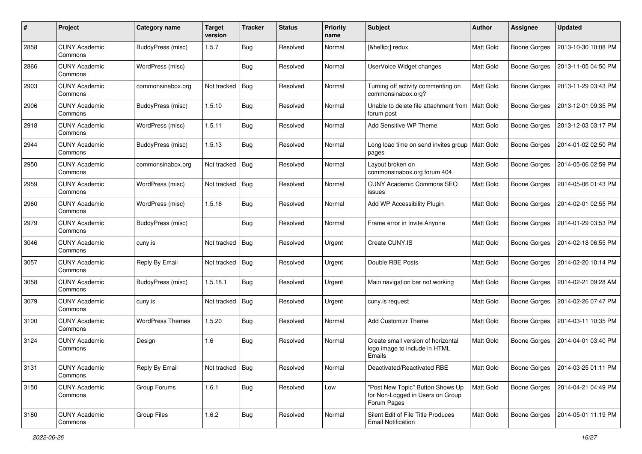| #    | Project                         | Category name           | <b>Target</b><br>version | <b>Tracker</b> | <b>Status</b> | <b>Priority</b><br>name | <b>Subject</b>                                                                      | <b>Author</b>    | Assignee            | <b>Updated</b>      |
|------|---------------------------------|-------------------------|--------------------------|----------------|---------------|-------------------------|-------------------------------------------------------------------------------------|------------------|---------------------|---------------------|
| 2858 | <b>CUNY Academic</b><br>Commons | BuddyPress (misc)       | 1.5.7                    | Bug            | Resolved      | Normal                  | […] redux                                                                           | <b>Matt Gold</b> | <b>Boone Gorges</b> | 2013-10-30 10:08 PM |
| 2866 | <b>CUNY Academic</b><br>Commons | WordPress (misc)        |                          | Bug            | Resolved      | Normal                  | UserVoice Widget changes                                                            | <b>Matt Gold</b> | <b>Boone Gorges</b> | 2013-11-05 04:50 PM |
| 2903 | <b>CUNY Academic</b><br>Commons | commonsinabox.org       | Not tracked              | Bug            | Resolved      | Normal                  | Turning off activity commenting on<br>commonsinabox.org?                            | Matt Gold        | <b>Boone Gorges</b> | 2013-11-29 03:43 PM |
| 2906 | <b>CUNY Academic</b><br>Commons | BuddyPress (misc)       | 1.5.10                   | Bug            | Resolved      | Normal                  | Unable to delete file attachment from<br>forum post                                 | Matt Gold        | <b>Boone Gorges</b> | 2013-12-01 09:35 PM |
| 2918 | <b>CUNY Academic</b><br>Commons | WordPress (misc)        | 1.5.11                   | Bug            | Resolved      | Normal                  | Add Sensitive WP Theme                                                              | <b>Matt Gold</b> | <b>Boone Gorges</b> | 2013-12-03 03:17 PM |
| 2944 | <b>CUNY Academic</b><br>Commons | BuddyPress (misc)       | 1.5.13                   | Bug            | Resolved      | Normal                  | Long load time on send invites group<br>pages                                       | Matt Gold        | <b>Boone Gorges</b> | 2014-01-02 02:50 PM |
| 2950 | <b>CUNY Academic</b><br>Commons | commonsinabox.org       | Not tracked              | Bug            | Resolved      | Normal                  | Layout broken on<br>commonsinabox.org forum 404                                     | Matt Gold        | <b>Boone Gorges</b> | 2014-05-06 02:59 PM |
| 2959 | <b>CUNY Academic</b><br>Commons | WordPress (misc)        | Not tracked              | Bug            | Resolved      | Normal                  | <b>CUNY Academic Commons SEO</b><br>issues                                          | <b>Matt Gold</b> | <b>Boone Gorges</b> | 2014-05-06 01:43 PM |
| 2960 | <b>CUNY Academic</b><br>Commons | WordPress (misc)        | 1.5.16                   | Bug            | Resolved      | Normal                  | Add WP Accessibility Plugin                                                         | Matt Gold        | <b>Boone Gorges</b> | 2014-02-01 02:55 PM |
| 2979 | <b>CUNY Academic</b><br>Commons | BuddyPress (misc)       |                          | Bug            | Resolved      | Normal                  | Frame error in Invite Anyone                                                        | <b>Matt Gold</b> | <b>Boone Gorges</b> | 2014-01-29 03:53 PM |
| 3046 | <b>CUNY Academic</b><br>Commons | cuny.is                 | Not tracked              | Bug            | Resolved      | Urgent                  | Create CUNY.IS                                                                      | <b>Matt Gold</b> | <b>Boone Gorges</b> | 2014-02-18 06:55 PM |
| 3057 | <b>CUNY Academic</b><br>Commons | Reply By Email          | Not tracked              | Bug            | Resolved      | Urgent                  | Double RBE Posts                                                                    | <b>Matt Gold</b> | <b>Boone Gorges</b> | 2014-02-20 10:14 PM |
| 3058 | <b>CUNY Academic</b><br>Commons | BuddyPress (misc)       | 1.5.18.1                 | Bug            | Resolved      | Urgent                  | Main navigation bar not working                                                     | Matt Gold        | <b>Boone Gorges</b> | 2014-02-21 09:28 AM |
| 3079 | <b>CUNY Academic</b><br>Commons | cuny.is                 | Not tracked              | Bug            | Resolved      | Urgent                  | cuny.is request                                                                     | Matt Gold        | <b>Boone Gorges</b> | 2014-02-26 07:47 PM |
| 3100 | <b>CUNY Academic</b><br>Commons | <b>WordPress Themes</b> | 1.5.20                   | Bug            | Resolved      | Normal                  | <b>Add Customizr Theme</b>                                                          | Matt Gold        | <b>Boone Gorges</b> | 2014-03-11 10:35 PM |
| 3124 | <b>CUNY Academic</b><br>Commons | Design                  | 1.6                      | Bug            | Resolved      | Normal                  | Create small version of horizontal<br>logo image to include in HTML<br>Emails       | <b>Matt Gold</b> | <b>Boone Gorges</b> | 2014-04-01 03:40 PM |
| 3131 | <b>CUNY Academic</b><br>Commons | Reply By Email          | Not tracked   Bug        |                | Resolved      | Normal                  | Deactivated/Reactivated RBE                                                         | Matt Gold        | Boone Gorges        | 2014-03-25 01:11 PM |
| 3150 | <b>CUNY Academic</b><br>Commons | Group Forums            | 1.6.1                    | Bug            | Resolved      | Low                     | "Post New Topic" Button Shows Up<br>for Non-Logged in Users on Group<br>Forum Pages | Matt Gold        | <b>Boone Gorges</b> | 2014-04-21 04:49 PM |
| 3180 | <b>CUNY Academic</b><br>Commons | Group Files             | 1.6.2                    | <b>Bug</b>     | Resolved      | Normal                  | Silent Edit of File Title Produces<br><b>Email Notification</b>                     | Matt Gold        | <b>Boone Gorges</b> | 2014-05-01 11:19 PM |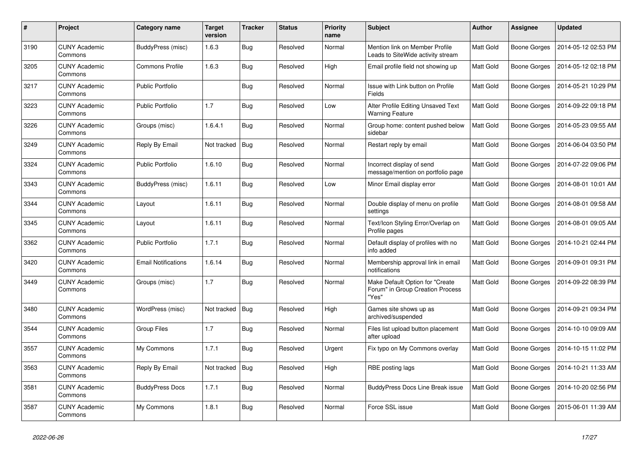| #    | Project                         | Category name              | <b>Target</b><br>version | <b>Tracker</b> | <b>Status</b> | <b>Priority</b><br>name | <b>Subject</b>                                                               | <b>Author</b>    | Assignee            | <b>Updated</b>      |
|------|---------------------------------|----------------------------|--------------------------|----------------|---------------|-------------------------|------------------------------------------------------------------------------|------------------|---------------------|---------------------|
| 3190 | <b>CUNY Academic</b><br>Commons | BuddyPress (misc)          | 1.6.3                    | Bug            | Resolved      | Normal                  | Mention link on Member Profile<br>Leads to SiteWide activity stream          | <b>Matt Gold</b> | Boone Gorges        | 2014-05-12 02:53 PM |
| 3205 | <b>CUNY Academic</b><br>Commons | Commons Profile            | 1.6.3                    | <b>Bug</b>     | Resolved      | High                    | Email profile field not showing up                                           | Matt Gold        | <b>Boone Gorges</b> | 2014-05-12 02:18 PM |
| 3217 | <b>CUNY Academic</b><br>Commons | <b>Public Portfolio</b>    |                          | Bug            | Resolved      | Normal                  | Issue with Link button on Profile<br>Fields                                  | Matt Gold        | Boone Gorges        | 2014-05-21 10:29 PM |
| 3223 | <b>CUNY Academic</b><br>Commons | <b>Public Portfolio</b>    | 1.7                      | <b>Bug</b>     | Resolved      | Low                     | Alter Profile Editing Unsaved Text<br><b>Warning Feature</b>                 | Matt Gold        | Boone Gorges        | 2014-09-22 09:18 PM |
| 3226 | <b>CUNY Academic</b><br>Commons | Groups (misc)              | 1.6.4.1                  | Bug            | Resolved      | Normal                  | Group home: content pushed below<br>sidebar                                  | <b>Matt Gold</b> | Boone Gorges        | 2014-05-23 09:55 AM |
| 3249 | <b>CUNY Academic</b><br>Commons | Reply By Email             | Not tracked              | Bug            | Resolved      | Normal                  | Restart reply by email                                                       | Matt Gold        | Boone Gorges        | 2014-06-04 03:50 PM |
| 3324 | <b>CUNY Academic</b><br>Commons | <b>Public Portfolio</b>    | 1.6.10                   | Bug            | Resolved      | Normal                  | Incorrect display of send<br>message/mention on portfolio page               | Matt Gold        | Boone Gorges        | 2014-07-22 09:06 PM |
| 3343 | <b>CUNY Academic</b><br>Commons | BuddyPress (misc)          | 1.6.11                   | Bug            | Resolved      | Low                     | Minor Email display error                                                    | Matt Gold        | Boone Gorges        | 2014-08-01 10:01 AM |
| 3344 | <b>CUNY Academic</b><br>Commons | Layout                     | 1.6.11                   | <b>Bug</b>     | Resolved      | Normal                  | Double display of menu on profile<br>settings                                | <b>Matt Gold</b> | <b>Boone Gorges</b> | 2014-08-01 09:58 AM |
| 3345 | <b>CUNY Academic</b><br>Commons | Layout                     | 1.6.11                   | <b>Bug</b>     | Resolved      | Normal                  | Text/Icon Styling Error/Overlap on<br>Profile pages                          | <b>Matt Gold</b> | Boone Gorges        | 2014-08-01 09:05 AM |
| 3362 | <b>CUNY Academic</b><br>Commons | <b>Public Portfolio</b>    | 1.7.1                    | <b>Bug</b>     | Resolved      | Normal                  | Default display of profiles with no<br>info added                            | Matt Gold        | Boone Gorges        | 2014-10-21 02:44 PM |
| 3420 | <b>CUNY Academic</b><br>Commons | <b>Email Notifications</b> | 1.6.14                   | Bug            | Resolved      | Normal                  | Membership approval link in email<br>notifications                           | <b>Matt Gold</b> | Boone Gorges        | 2014-09-01 09:31 PM |
| 3449 | <b>CUNY Academic</b><br>Commons | Groups (misc)              | 1.7                      | <b>Bug</b>     | Resolved      | Normal                  | Make Default Option for "Create<br>Forum" in Group Creation Process<br>"Yes" | Matt Gold        | Boone Gorges        | 2014-09-22 08:39 PM |
| 3480 | <b>CUNY Academic</b><br>Commons | WordPress (misc)           | Not tracked              | Bug            | Resolved      | High                    | Games site shows up as<br>archived/suspended                                 | Matt Gold        | Boone Gorges        | 2014-09-21 09:34 PM |
| 3544 | <b>CUNY Academic</b><br>Commons | <b>Group Files</b>         | 1.7                      | <b>Bug</b>     | Resolved      | Normal                  | Files list upload button placement<br>after upload                           | <b>Matt Gold</b> | Boone Gorges        | 2014-10-10 09:09 AM |
| 3557 | <b>CUNY Academic</b><br>Commons | My Commons                 | 1.7.1                    | <b>Bug</b>     | Resolved      | Urgent                  | Fix typo on My Commons overlay                                               | <b>Matt Gold</b> | Boone Gorges        | 2014-10-15 11:02 PM |
| 3563 | <b>CUNY Academic</b><br>Commons | Reply By Email             | Not tracked              | <b>Bug</b>     | Resolved      | High                    | RBE posting lags                                                             | Matt Gold        | Boone Gorges        | 2014-10-21 11:33 AM |
| 3581 | <b>CUNY Academic</b><br>Commons | <b>BuddyPress Docs</b>     | 1.7.1                    | Bug            | Resolved      | Normal                  | <b>BuddyPress Docs Line Break issue</b>                                      | <b>Matt Gold</b> | Boone Gorges        | 2014-10-20 02:56 PM |
| 3587 | <b>CUNY Academic</b><br>Commons | My Commons                 | 1.8.1                    | Bug            | Resolved      | Normal                  | Force SSL issue                                                              | <b>Matt Gold</b> | Boone Gorges        | 2015-06-01 11:39 AM |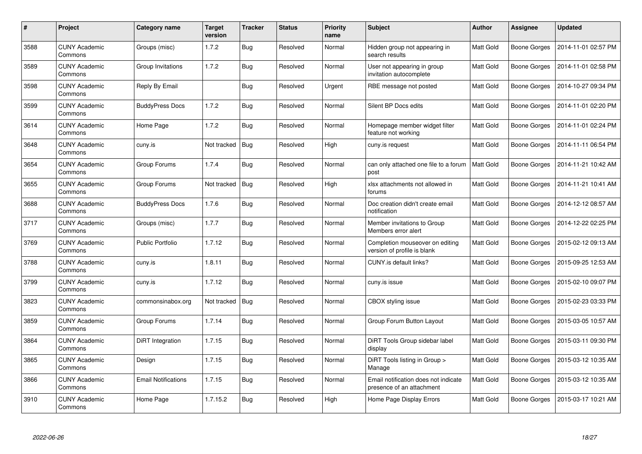| #    | Project                         | Category name              | Target<br>version | <b>Tracker</b> | <b>Status</b> | <b>Priority</b><br>name | <b>Subject</b>                                                    | <b>Author</b>    | Assignee            | <b>Updated</b>      |
|------|---------------------------------|----------------------------|-------------------|----------------|---------------|-------------------------|-------------------------------------------------------------------|------------------|---------------------|---------------------|
| 3588 | <b>CUNY Academic</b><br>Commons | Groups (misc)              | 1.7.2             | <b>Bug</b>     | Resolved      | Normal                  | Hidden group not appearing in<br>search results                   | <b>Matt Gold</b> | Boone Gorges        | 2014-11-01 02:57 PM |
| 3589 | <b>CUNY Academic</b><br>Commons | Group Invitations          | 1.7.2             | Bug            | Resolved      | Normal                  | User not appearing in group<br>invitation autocomplete            | <b>Matt Gold</b> | Boone Gorges        | 2014-11-01 02:58 PM |
| 3598 | <b>CUNY Academic</b><br>Commons | Reply By Email             |                   | <b>Bug</b>     | Resolved      | Urgent                  | RBE message not posted                                            | <b>Matt Gold</b> | Boone Gorges        | 2014-10-27 09:34 PM |
| 3599 | <b>CUNY Academic</b><br>Commons | <b>BuddyPress Docs</b>     | 1.7.2             | <b>Bug</b>     | Resolved      | Normal                  | Silent BP Docs edits                                              | Matt Gold        | Boone Gorges        | 2014-11-01 02:20 PM |
| 3614 | <b>CUNY Academic</b><br>Commons | Home Page                  | 1.7.2             | Bug            | Resolved      | Normal                  | Homepage member widget filter<br>feature not working              | <b>Matt Gold</b> | Boone Gorges        | 2014-11-01 02:24 PM |
| 3648 | <b>CUNY Academic</b><br>Commons | cuny.is                    | Not tracked       | Bug            | Resolved      | High                    | cuny.is request                                                   | Matt Gold        | Boone Gorges        | 2014-11-11 06:54 PM |
| 3654 | <b>CUNY Academic</b><br>Commons | Group Forums               | 1.7.4             | Bug            | Resolved      | Normal                  | can only attached one file to a forum<br>post                     | Matt Gold        | Boone Gorges        | 2014-11-21 10:42 AM |
| 3655 | <b>CUNY Academic</b><br>Commons | Group Forums               | Not tracked       | Bug            | Resolved      | High                    | xlsx attachments not allowed in<br>forums                         | Matt Gold        | Boone Gorges        | 2014-11-21 10:41 AM |
| 3688 | <b>CUNY Academic</b><br>Commons | <b>BuddyPress Docs</b>     | 1.7.6             | Bug            | Resolved      | Normal                  | Doc creation didn't create email<br>notification                  | <b>Matt Gold</b> | Boone Gorges        | 2014-12-12 08:57 AM |
| 3717 | <b>CUNY Academic</b><br>Commons | Groups (misc)              | 1.7.7             | <b>Bug</b>     | Resolved      | Normal                  | Member invitations to Group<br>Members error alert                | <b>Matt Gold</b> | Boone Gorges        | 2014-12-22 02:25 PM |
| 3769 | <b>CUNY Academic</b><br>Commons | <b>Public Portfolio</b>    | 1.7.12            | Bug            | Resolved      | Normal                  | Completion mouseover on editing<br>version of profile is blank    | Matt Gold        | Boone Gorges        | 2015-02-12 09:13 AM |
| 3788 | <b>CUNY Academic</b><br>Commons | cuny.is                    | 1.8.11            | Bug            | Resolved      | Normal                  | CUNY.is default links?                                            | <b>Matt Gold</b> | <b>Boone Gorges</b> | 2015-09-25 12:53 AM |
| 3799 | <b>CUNY Academic</b><br>Commons | cuny.is                    | 1.7.12            | Bug            | Resolved      | Normal                  | cuny.is issue                                                     | Matt Gold        | Boone Gorges        | 2015-02-10 09:07 PM |
| 3823 | <b>CUNY Academic</b><br>Commons | commonsinabox.org          | Not tracked       | Bug            | Resolved      | Normal                  | CBOX styling issue                                                | Matt Gold        | Boone Gorges        | 2015-02-23 03:33 PM |
| 3859 | <b>CUNY Academic</b><br>Commons | Group Forums               | 1.7.14            | <b>Bug</b>     | Resolved      | Normal                  | Group Forum Button Layout                                         | Matt Gold        | Boone Gorges        | 2015-03-05 10:57 AM |
| 3864 | <b>CUNY Academic</b><br>Commons | DiRT Integration           | 1.7.15            | <b>Bug</b>     | Resolved      | Normal                  | DiRT Tools Group sidebar label<br>display                         | Matt Gold        | Boone Gorges        | 2015-03-11 09:30 PM |
| 3865 | <b>CUNY Academic</b><br>Commons | Design                     | 1.7.15            | <b>Bug</b>     | Resolved      | Normal                  | DiRT Tools listing in Group ><br>Manage                           | Matt Gold        | Boone Gorges        | 2015-03-12 10:35 AM |
| 3866 | <b>CUNY Academic</b><br>Commons | <b>Email Notifications</b> | 1.7.15            | <b>Bug</b>     | Resolved      | Normal                  | Email notification does not indicate<br>presence of an attachment | Matt Gold        | Boone Gorges        | 2015-03-12 10:35 AM |
| 3910 | <b>CUNY Academic</b><br>Commons | Home Page                  | 1.7.15.2          | <b>Bug</b>     | Resolved      | High                    | Home Page Display Errors                                          | <b>Matt Gold</b> | Boone Gorges        | 2015-03-17 10:21 AM |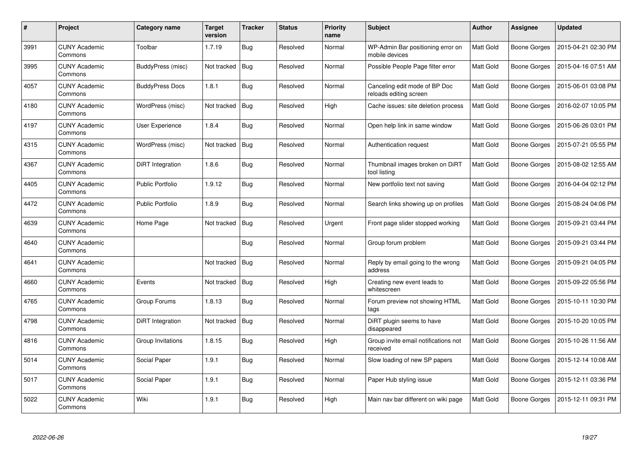| #    | Project                         | Category name           | <b>Target</b><br>version | <b>Tracker</b> | <b>Status</b> | <b>Priority</b><br>name | <b>Subject</b>                                          | <b>Author</b>    | Assignee            | <b>Updated</b>      |
|------|---------------------------------|-------------------------|--------------------------|----------------|---------------|-------------------------|---------------------------------------------------------|------------------|---------------------|---------------------|
| 3991 | <b>CUNY Academic</b><br>Commons | Toolbar                 | 1.7.19                   | <b>Bug</b>     | Resolved      | Normal                  | WP-Admin Bar positioning error on<br>mobile devices     | <b>Matt Gold</b> | <b>Boone Gorges</b> | 2015-04-21 02:30 PM |
| 3995 | <b>CUNY Academic</b><br>Commons | BuddyPress (misc)       | Not tracked              | Bug            | Resolved      | Normal                  | Possible People Page filter error                       | Matt Gold        | Boone Gorges        | 2015-04-16 07:51 AM |
| 4057 | <b>CUNY Academic</b><br>Commons | <b>BuddyPress Docs</b>  | 1.8.1                    | <b>Bug</b>     | Resolved      | Normal                  | Canceling edit mode of BP Doc<br>reloads editing screen | Matt Gold        | Boone Gorges        | 2015-06-01 03:08 PM |
| 4180 | <b>CUNY Academic</b><br>Commons | WordPress (misc)        | Not tracked              | Bug            | Resolved      | High                    | Cache issues: site deletion process                     | Matt Gold        | Boone Gorges        | 2016-02-07 10:05 PM |
| 4197 | <b>CUNY Academic</b><br>Commons | User Experience         | 1.8.4                    | Bug            | Resolved      | Normal                  | Open help link in same window                           | <b>Matt Gold</b> | Boone Gorges        | 2015-06-26 03:01 PM |
| 4315 | <b>CUNY Academic</b><br>Commons | WordPress (misc)        | Not tracked              | Bug            | Resolved      | Normal                  | Authentication request                                  | Matt Gold        | Boone Gorges        | 2015-07-21 05:55 PM |
| 4367 | <b>CUNY Academic</b><br>Commons | DiRT Integration        | 1.8.6                    | <b>Bug</b>     | Resolved      | Normal                  | Thumbnail images broken on DiRT<br>tool listing         | Matt Gold        | Boone Gorges        | 2015-08-02 12:55 AM |
| 4405 | <b>CUNY Academic</b><br>Commons | <b>Public Portfolio</b> | 1.9.12                   | Bug            | Resolved      | Normal                  | New portfolio text not saving                           | Matt Gold        | Boone Gorges        | 2016-04-04 02:12 PM |
| 4472 | <b>CUNY Academic</b><br>Commons | <b>Public Portfolio</b> | 1.8.9                    | Bug            | Resolved      | Normal                  | Search links showing up on profiles                     | Matt Gold        | Boone Gorges        | 2015-08-24 04:06 PM |
| 4639 | <b>CUNY Academic</b><br>Commons | Home Page               | Not tracked              | Bug            | Resolved      | Urgent                  | Front page slider stopped working                       | Matt Gold        | Boone Gorges        | 2015-09-21 03:44 PM |
| 4640 | <b>CUNY Academic</b><br>Commons |                         |                          | <b>Bug</b>     | Resolved      | Normal                  | Group forum problem                                     | Matt Gold        | Boone Gorges        | 2015-09-21 03:44 PM |
| 4641 | <b>CUNY Academic</b><br>Commons |                         | Not tracked              | Bug            | Resolved      | Normal                  | Reply by email going to the wrong<br>address            | Matt Gold        | <b>Boone Gorges</b> | 2015-09-21 04:05 PM |
| 4660 | <b>CUNY Academic</b><br>Commons | Events                  | Not tracked              | Bug            | Resolved      | High                    | Creating new event leads to<br>whitescreen              | Matt Gold        | Boone Gorges        | 2015-09-22 05:56 PM |
| 4765 | <b>CUNY Academic</b><br>Commons | Group Forums            | 1.8.13                   | Bug            | Resolved      | Normal                  | Forum preview not showing HTML<br>tags                  | Matt Gold        | Boone Gorges        | 2015-10-11 10:30 PM |
| 4798 | <b>CUNY Academic</b><br>Commons | DiRT Integration        | Not tracked              | <b>Bug</b>     | Resolved      | Normal                  | DiRT plugin seems to have<br>disappeared                | Matt Gold        | Boone Gorges        | 2015-10-20 10:05 PM |
| 4816 | <b>CUNY Academic</b><br>Commons | Group Invitations       | 1.8.15                   | <b>Bug</b>     | Resolved      | High                    | Group invite email notifications not<br>received        | <b>Matt Gold</b> | <b>Boone Gorges</b> | 2015-10-26 11:56 AM |
| 5014 | <b>CUNY Academic</b><br>Commons | Social Paper            | 1.9.1                    | <b>Bug</b>     | Resolved      | Normal                  | Slow loading of new SP papers                           | Matt Gold        | Boone Gorges        | 2015-12-14 10:08 AM |
| 5017 | <b>CUNY Academic</b><br>Commons | Social Paper            | 1.9.1                    | <b>Bug</b>     | Resolved      | Normal                  | Paper Hub styling issue                                 | Matt Gold        | <b>Boone Gorges</b> | 2015-12-11 03:36 PM |
| 5022 | <b>CUNY Academic</b><br>Commons | Wiki                    | 1.9.1                    | <b>Bug</b>     | Resolved      | High                    | Main nav bar different on wiki page                     | Matt Gold        | Boone Gorges        | 2015-12-11 09:31 PM |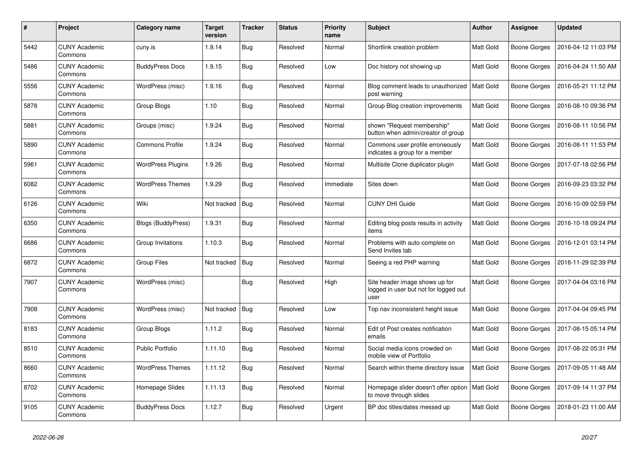| #    | Project                         | Category name            | <b>Target</b><br>version | <b>Tracker</b> | <b>Status</b> | <b>Priority</b><br>name | <b>Subject</b>                                                                  | <b>Author</b>    | Assignee            | <b>Updated</b>      |
|------|---------------------------------|--------------------------|--------------------------|----------------|---------------|-------------------------|---------------------------------------------------------------------------------|------------------|---------------------|---------------------|
| 5442 | <b>CUNY Academic</b><br>Commons | cuny.is                  | 1.9.14                   | <b>Bug</b>     | Resolved      | Normal                  | Shortlink creation problem                                                      | <b>Matt Gold</b> | Boone Gorges        | 2016-04-12 11:03 PM |
| 5486 | <b>CUNY Academic</b><br>Commons | <b>BuddyPress Docs</b>   | 1.9.15                   | <b>Bug</b>     | Resolved      | Low                     | Doc history not showing up                                                      | <b>Matt Gold</b> | <b>Boone Gorges</b> | 2016-04-24 11:50 AM |
| 5556 | <b>CUNY Academic</b><br>Commons | WordPress (misc)         | 1.9.16                   | <b>Bug</b>     | Resolved      | Normal                  | Blog comment leads to unauthorized<br>post warning                              | Matt Gold        | Boone Gorges        | 2016-05-21 11:12 PM |
| 5878 | <b>CUNY Academic</b><br>Commons | Group Blogs              | 1.10                     | <b>Bug</b>     | Resolved      | Normal                  | Group Blog creation improvements                                                | Matt Gold        | Boone Gorges        | 2016-08-10 09:36 PM |
| 5881 | <b>CUNY Academic</b><br>Commons | Groups (misc)            | 1.9.24                   | <b>Bug</b>     | Resolved      | Normal                  | shown "Request membership"<br>button when admin/creator of group                | Matt Gold        | Boone Gorges        | 2016-08-11 10:56 PM |
| 5890 | <b>CUNY Academic</b><br>Commons | <b>Commons Profile</b>   | 1.9.24                   | <b>Bug</b>     | Resolved      | Normal                  | Commons user profile erroneously<br>indicates a group for a member              | Matt Gold        | Boone Gorges        | 2016-08-11 11:53 PM |
| 5961 | <b>CUNY Academic</b><br>Commons | <b>WordPress Plugins</b> | 1.9.26                   | Bug            | Resolved      | Normal                  | Multisite Clone duplicator plugin                                               | Matt Gold        | Boone Gorges        | 2017-07-18 02:56 PM |
| 6082 | <b>CUNY Academic</b><br>Commons | <b>WordPress Themes</b>  | 1.9.29                   | Bug            | Resolved      | Immediate               | Sites down                                                                      | Matt Gold        | Boone Gorges        | 2016-09-23 03:32 PM |
| 6126 | <b>CUNY Academic</b><br>Commons | Wiki                     | Not tracked              | <b>Bug</b>     | Resolved      | Normal                  | <b>CUNY DHI Guide</b>                                                           | <b>Matt Gold</b> | Boone Gorges        | 2016-10-09 02:59 PM |
| 6350 | <b>CUNY Academic</b><br>Commons | Blogs (BuddyPress)       | 1.9.31                   | <b>Bug</b>     | Resolved      | Normal                  | Editing blog posts results in activity<br>items                                 | <b>Matt Gold</b> | Boone Gorges        | 2016-10-18 09:24 PM |
| 6686 | <b>CUNY Academic</b><br>Commons | Group Invitations        | 1.10.3                   | <b>Bug</b>     | Resolved      | Normal                  | Problems with auto-complete on<br>Send Invites tab                              | Matt Gold        | Boone Gorges        | 2016-12-01 03:14 PM |
| 6872 | <b>CUNY Academic</b><br>Commons | <b>Group Files</b>       | Not tracked              | Bug            | Resolved      | Normal                  | Seeing a red PHP warning                                                        | <b>Matt Gold</b> | Boone Gorges        | 2016-11-29 02:39 PM |
| 7907 | <b>CUNY Academic</b><br>Commons | WordPress (misc)         |                          | <b>Bug</b>     | Resolved      | High                    | Site header image shows up for<br>logged in user but not for logged out<br>user | Matt Gold        | Boone Gorges        | 2017-04-04 03:16 PM |
| 7908 | <b>CUNY Academic</b><br>Commons | WordPress (misc)         | Not tracked              | Bug            | Resolved      | Low                     | Top nav inconsistent height issue                                               | Matt Gold        | Boone Gorges        | 2017-04-04 09:45 PM |
| 8183 | <b>CUNY Academic</b><br>Commons | Group Blogs              | 1.11.2                   | <b>Bug</b>     | Resolved      | Normal                  | Edit of Post creates notification<br>emails                                     | <b>Matt Gold</b> | Boone Gorges        | 2017-08-15 05:14 PM |
| 8510 | <b>CUNY Academic</b><br>Commons | <b>Public Portfolio</b>  | 1.11.10                  | Bug            | Resolved      | Normal                  | Social media icons crowded on<br>mobile view of Portfolio                       | Matt Gold        | Boone Gorges        | 2017-08-22 05:31 PM |
| 8660 | <b>CUNY Academic</b><br>Commons | <b>WordPress Themes</b>  | 1.11.12                  | <b>Bug</b>     | Resolved      | Normal                  | Search within theme directory issue                                             | Matt Gold        | Boone Gorges        | 2017-09-05 11:48 AM |
| 8702 | <b>CUNY Academic</b><br>Commons | Homepage Slides          | 1.11.13                  | <b>Bug</b>     | Resolved      | Normal                  | Homepage slider doesn't offer option   Matt Gold<br>to move through slides      |                  | Boone Gorges        | 2017-09-14 11:37 PM |
| 9105 | <b>CUNY Academic</b><br>Commons | <b>BuddyPress Docs</b>   | 1.12.7                   | Bug            | Resolved      | Urgent                  | BP doc titles/dates messed up                                                   | <b>Matt Gold</b> | Boone Gorges        | 2018-01-23 11:00 AM |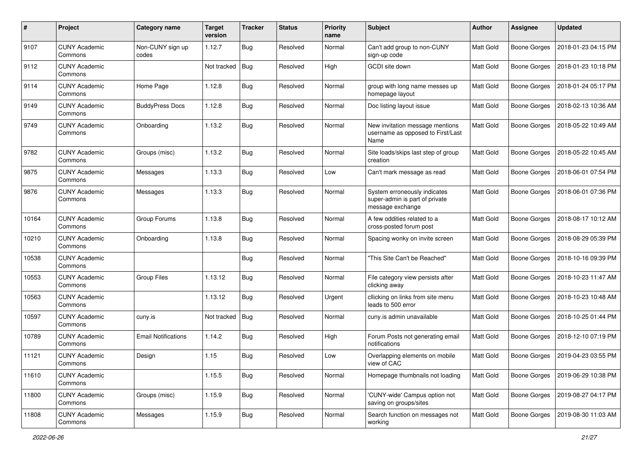| $\pmb{\#}$ | Project                         | Category name              | <b>Target</b><br>version | <b>Tracker</b> | <b>Status</b> | <b>Priority</b><br>name | <b>Subject</b>                                                                     | Author           | Assignee            | <b>Updated</b>      |
|------------|---------------------------------|----------------------------|--------------------------|----------------|---------------|-------------------------|------------------------------------------------------------------------------------|------------------|---------------------|---------------------|
| 9107       | <b>CUNY Academic</b><br>Commons | Non-CUNY sign up<br>codes  | 1.12.7                   | <b>Bug</b>     | Resolved      | Normal                  | Can't add group to non-CUNY<br>sign-up code                                        | <b>Matt Gold</b> | <b>Boone Gorges</b> | 2018-01-23 04:15 PM |
| 9112       | <b>CUNY Academic</b><br>Commons |                            | Not tracked              | Bug            | Resolved      | High                    | GCDI site down                                                                     | Matt Gold        | <b>Boone Gorges</b> | 2018-01-23 10:18 PM |
| 9114       | <b>CUNY Academic</b><br>Commons | Home Page                  | 1.12.8                   | <b>Bug</b>     | Resolved      | Normal                  | group with long name messes up<br>homepage layout                                  | Matt Gold        | <b>Boone Gorges</b> | 2018-01-24 05:17 PM |
| 9149       | <b>CUNY Academic</b><br>Commons | <b>BuddyPress Docs</b>     | 1.12.8                   | Bug            | Resolved      | Normal                  | Doc listing layout issue                                                           | Matt Gold        | <b>Boone Gorges</b> | 2018-02-13 10:36 AM |
| 9749       | <b>CUNY Academic</b><br>Commons | Onboarding                 | 1.13.2                   | <b>Bug</b>     | Resolved      | Normal                  | New invitation message mentions<br>username as opposed to First/Last<br>Name       | Matt Gold        | <b>Boone Gorges</b> | 2018-05-22 10:49 AM |
| 9782       | <b>CUNY Academic</b><br>Commons | Groups (misc)              | 1.13.2                   | Bug            | Resolved      | Normal                  | Site loads/skips last step of group<br>creation                                    | Matt Gold        | <b>Boone Gorges</b> | 2018-05-22 10:45 AM |
| 9875       | <b>CUNY Academic</b><br>Commons | Messages                   | 1.13.3                   | Bug            | Resolved      | Low                     | Can't mark message as read                                                         | Matt Gold        | <b>Boone Gorges</b> | 2018-06-01 07:54 PM |
| 9876       | <b>CUNY Academic</b><br>Commons | Messages                   | 1.13.3                   | <b>Bug</b>     | Resolved      | Normal                  | System erroneously indicates<br>super-admin is part of private<br>message exchange | Matt Gold        | <b>Boone Gorges</b> | 2018-06-01 07:36 PM |
| 10164      | <b>CUNY Academic</b><br>Commons | Group Forums               | 1.13.8                   | Bug            | Resolved      | Normal                  | A few oddities related to a<br>cross-posted forum post                             | <b>Matt Gold</b> | <b>Boone Gorges</b> | 2018-08-17 10:12 AM |
| 10210      | <b>CUNY Academic</b><br>Commons | Onboarding                 | 1.13.8                   | Bug            | Resolved      | Normal                  | Spacing wonky on invite screen                                                     | Matt Gold        | <b>Boone Gorges</b> | 2018-08-29 05:39 PM |
| 10538      | <b>CUNY Academic</b><br>Commons |                            |                          | Bug            | Resolved      | Normal                  | "This Site Can't be Reached"                                                       | Matt Gold        | <b>Boone Gorges</b> | 2018-10-16 09:39 PM |
| 10553      | <b>CUNY Academic</b><br>Commons | Group Files                | 1.13.12                  | Bug            | Resolved      | Normal                  | File category view persists after<br>clicking away                                 | Matt Gold        | Boone Gorges        | 2018-10-23 11:47 AM |
| 10563      | <b>CUNY Academic</b><br>Commons |                            | 1.13.12                  | Bug            | Resolved      | Urgent                  | cllicking on links from site menu<br>leads to 500 error                            | Matt Gold        | <b>Boone Gorges</b> | 2018-10-23 10:48 AM |
| 10597      | <b>CUNY Academic</b><br>Commons | cuny.is                    | Not tracked              | Bug            | Resolved      | Normal                  | cuny.is admin unavailable                                                          | Matt Gold        | <b>Boone Gorges</b> | 2018-10-25 01:44 PM |
| 10789      | <b>CUNY Academic</b><br>Commons | <b>Email Notifications</b> | 1.14.2                   | <b>Bug</b>     | Resolved      | High                    | Forum Posts not generating email<br>notifications                                  | <b>Matt Gold</b> | <b>Boone Gorges</b> | 2018-12-10 07:19 PM |
| 11121      | <b>CUNY Academic</b><br>Commons | Design                     | 1.15                     | Bug            | Resolved      | Low                     | Overlapping elements on mobile<br>view of CAC                                      | Matt Gold        | <b>Boone Gorges</b> | 2019-04-23 03:55 PM |
| 11610      | <b>CUNY Academic</b><br>Commons |                            | 1.15.5                   | <b>Bug</b>     | Resolved      | Normal                  | Homepage thumbnails not loading                                                    | Matt Gold        | Boone Gorges        | 2019-06-29 10:38 PM |
| 11800      | <b>CUNY Academic</b><br>Commons | Groups (misc)              | 1.15.9                   | <b>Bug</b>     | Resolved      | Normal                  | 'CUNY-wide' Campus option not<br>saving on groups/sites                            | Matt Gold        | <b>Boone Gorges</b> | 2019-08-27 04:17 PM |
| 11808      | <b>CUNY Academic</b><br>Commons | Messages                   | 1.15.9                   | <b>Bug</b>     | Resolved      | Normal                  | Search function on messages not<br>working                                         | Matt Gold        | <b>Boone Gorges</b> | 2019-08-30 11:03 AM |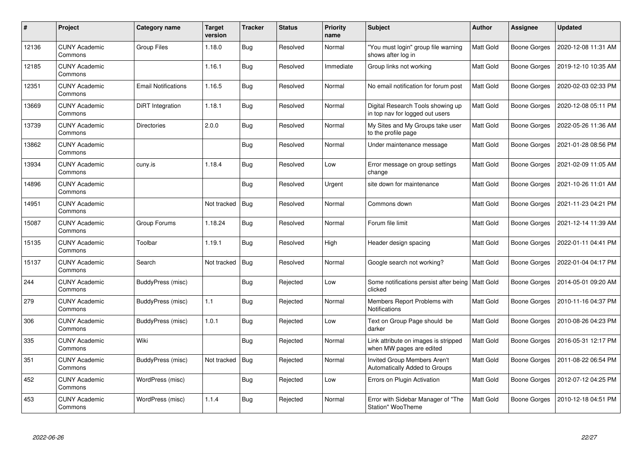| #     | Project                         | Category name              | <b>Target</b><br>version | <b>Tracker</b> | <b>Status</b> | <b>Priority</b><br>name | Subject                                                              | <b>Author</b>    | <b>Assignee</b> | <b>Updated</b>      |
|-------|---------------------------------|----------------------------|--------------------------|----------------|---------------|-------------------------|----------------------------------------------------------------------|------------------|-----------------|---------------------|
| 12136 | <b>CUNY Academic</b><br>Commons | Group Files                | 1.18.0                   | <b>Bug</b>     | Resolved      | Normal                  | 'You must login" group file warning<br>shows after log in            | Matt Gold        | Boone Gorges    | 2020-12-08 11:31 AM |
| 12185 | <b>CUNY Academic</b><br>Commons |                            | 1.16.1                   | <b>Bug</b>     | Resolved      | Immediate               | Group links not working                                              | Matt Gold        | Boone Gorges    | 2019-12-10 10:35 AM |
| 12351 | <b>CUNY Academic</b><br>Commons | <b>Email Notifications</b> | 1.16.5                   | Bug            | Resolved      | Normal                  | No email notification for forum post                                 | Matt Gold        | Boone Gorges    | 2020-02-03 02:33 PM |
| 13669 | <b>CUNY Academic</b><br>Commons | DiRT Integration           | 1.18.1                   | Bug            | Resolved      | Normal                  | Digital Research Tools showing up<br>in top nav for logged out users | Matt Gold        | Boone Gorges    | 2020-12-08 05:11 PM |
| 13739 | <b>CUNY Academic</b><br>Commons | <b>Directories</b>         | 2.0.0                    | <b>Bug</b>     | Resolved      | Normal                  | My Sites and My Groups take user<br>to the profile page              | Matt Gold        | Boone Gorges    | 2022-05-26 11:36 AM |
| 13862 | <b>CUNY Academic</b><br>Commons |                            |                          | Bug            | Resolved      | Normal                  | Under maintenance message                                            | Matt Gold        | Boone Gorges    | 2021-01-28 08:56 PM |
| 13934 | <b>CUNY Academic</b><br>Commons | cuny.is                    | 1.18.4                   | <b>Bug</b>     | Resolved      | Low                     | Error message on group settings<br>change                            | Matt Gold        | Boone Gorges    | 2021-02-09 11:05 AM |
| 14896 | <b>CUNY Academic</b><br>Commons |                            |                          | Bug            | Resolved      | Urgent                  | site down for maintenance                                            | Matt Gold        | Boone Gorges    | 2021-10-26 11:01 AM |
| 14951 | <b>CUNY Academic</b><br>Commons |                            | Not tracked              | <b>Bug</b>     | Resolved      | Normal                  | Commons down                                                         | Matt Gold        | Boone Gorges    | 2021-11-23 04:21 PM |
| 15087 | <b>CUNY Academic</b><br>Commons | Group Forums               | 1.18.24                  | Bug            | Resolved      | Normal                  | Forum file limit                                                     | Matt Gold        | Boone Gorges    | 2021-12-14 11:39 AM |
| 15135 | <b>CUNY Academic</b><br>Commons | Toolbar                    | 1.19.1                   | <b>Bug</b>     | Resolved      | High                    | Header design spacing                                                | Matt Gold        | Boone Gorges    | 2022-01-11 04:41 PM |
| 15137 | <b>CUNY Academic</b><br>Commons | Search                     | Not tracked              | Bug            | Resolved      | Normal                  | Google search not working?                                           | Matt Gold        | Boone Gorges    | 2022-01-04 04:17 PM |
| 244   | <b>CUNY Academic</b><br>Commons | BuddyPress (misc)          |                          | Bug            | Rejected      | Low                     | Some notifications persist after being<br>clicked                    | <b>Matt Gold</b> | Boone Gorges    | 2014-05-01 09:20 AM |
| 279   | <b>CUNY Academic</b><br>Commons | BuddyPress (misc)          | 1.1                      | Bug            | Rejected      | Normal                  | Members Report Problems with<br><b>Notifications</b>                 | Matt Gold        | Boone Gorges    | 2010-11-16 04:37 PM |
| 306   | <b>CUNY Academic</b><br>Commons | BuddyPress (misc)          | 1.0.1                    | Bug            | Rejected      | Low                     | Text on Group Page should be<br>darker                               | Matt Gold        | Boone Gorges    | 2010-08-26 04:23 PM |
| 335   | <b>CUNY Academic</b><br>Commons | Wiki                       |                          | <b>Bug</b>     | Rejected      | Normal                  | Link attribute on images is stripped<br>when MW pages are edited     | Matt Gold        | Boone Gorges    | 2016-05-31 12:17 PM |
| 351   | <b>CUNY Academic</b><br>Commons | BuddyPress (misc)          | Not tracked              | Bug            | Rejected      | Normal                  | <b>Invited Group Members Aren't</b><br>Automatically Added to Groups | Matt Gold        | Boone Gorges    | 2011-08-22 06:54 PM |
| 452   | <b>CUNY Academic</b><br>Commons | WordPress (misc)           |                          | Bug            | Rejected      | Low                     | Errors on Plugin Activation                                          | Matt Gold        | Boone Gorges    | 2012-07-12 04:25 PM |
| 453   | <b>CUNY Academic</b><br>Commons | WordPress (misc)           | 1.1.4                    | <b>Bug</b>     | Rejected      | Normal                  | Error with Sidebar Manager of "The<br>Station" WooTheme              | Matt Gold        | Boone Gorges    | 2010-12-18 04:51 PM |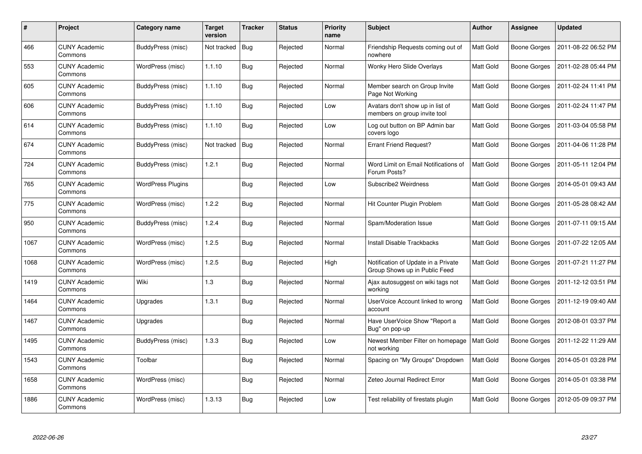| #    | Project                         | Category name            | Target<br>version | <b>Tracker</b> | <b>Status</b> | <b>Priority</b><br>name | <b>Subject</b>                                                       | <b>Author</b>    | Assignee            | <b>Updated</b>      |
|------|---------------------------------|--------------------------|-------------------|----------------|---------------|-------------------------|----------------------------------------------------------------------|------------------|---------------------|---------------------|
| 466  | <b>CUNY Academic</b><br>Commons | BuddyPress (misc)        | Not tracked       | Bug            | Rejected      | Normal                  | Friendship Requests coming out of<br>nowhere                         | <b>Matt Gold</b> | Boone Gorges        | 2011-08-22 06:52 PM |
| 553  | <b>CUNY Academic</b><br>Commons | WordPress (misc)         | 1.1.10            | Bug            | Rejected      | Normal                  | <b>Wonky Hero Slide Overlays</b>                                     | <b>Matt Gold</b> | Boone Gorges        | 2011-02-28 05:44 PM |
| 605  | <b>CUNY Academic</b><br>Commons | BuddyPress (misc)        | 1.1.10            | <b>Bug</b>     | Rejected      | Normal                  | Member search on Group Invite<br>Page Not Working                    | Matt Gold        | Boone Gorges        | 2011-02-24 11:41 PM |
| 606  | <b>CUNY Academic</b><br>Commons | BuddyPress (misc)        | 1.1.10            | <b>Bug</b>     | Rejected      | Low                     | Avatars don't show up in list of<br>members on group invite tool     | Matt Gold        | Boone Gorges        | 2011-02-24 11:47 PM |
| 614  | <b>CUNY Academic</b><br>Commons | BuddyPress (misc)        | 1.1.10            | Bug            | Rejected      | Low                     | Log out button on BP Admin bar<br>covers logo                        | Matt Gold        | Boone Gorges        | 2011-03-04 05:58 PM |
| 674  | <b>CUNY Academic</b><br>Commons | BuddyPress (misc)        | Not tracked       | Bug            | Rejected      | Normal                  | <b>Errant Friend Request?</b>                                        | Matt Gold        | Boone Gorges        | 2011-04-06 11:28 PM |
| 724  | <b>CUNY Academic</b><br>Commons | BuddyPress (misc)        | 1.2.1             | Bug            | Rejected      | Normal                  | Word Limit on Email Notifications of<br>Forum Posts?                 | <b>Matt Gold</b> | Boone Gorges        | 2011-05-11 12:04 PM |
| 765  | <b>CUNY Academic</b><br>Commons | <b>WordPress Plugins</b> |                   | <b>Bug</b>     | Rejected      | Low                     | Subscribe2 Weirdness                                                 | Matt Gold        | Boone Gorges        | 2014-05-01 09:43 AM |
| 775  | <b>CUNY Academic</b><br>Commons | WordPress (misc)         | 1.2.2             | Bug            | Rejected      | Normal                  | Hit Counter Plugin Problem                                           | <b>Matt Gold</b> | Boone Gorges        | 2011-05-28 08:42 AM |
| 950  | <b>CUNY Academic</b><br>Commons | BuddyPress (misc)        | 1.2.4             | <b>Bug</b>     | Rejected      | Normal                  | Spam/Moderation Issue                                                | <b>Matt Gold</b> | Boone Gorges        | 2011-07-11 09:15 AM |
| 1067 | <b>CUNY Academic</b><br>Commons | WordPress (misc)         | 1.2.5             | <b>Bug</b>     | Rejected      | Normal                  | Install Disable Trackbacks                                           | Matt Gold        | Boone Gorges        | 2011-07-22 12:05 AM |
| 1068 | <b>CUNY Academic</b><br>Commons | WordPress (misc)         | 1.2.5             | <b>Bug</b>     | Rejected      | High                    | Notification of Update in a Private<br>Group Shows up in Public Feed | Matt Gold        | <b>Boone Gorges</b> | 2011-07-21 11:27 PM |
| 1419 | <b>CUNY Academic</b><br>Commons | Wiki                     | 1.3               | Bug            | Rejected      | Normal                  | Ajax autosuggest on wiki tags not<br>working                         | <b>Matt Gold</b> | Boone Gorges        | 2011-12-12 03:51 PM |
| 1464 | <b>CUNY Academic</b><br>Commons | Upgrades                 | 1.3.1             | <b>Bug</b>     | Rejected      | Normal                  | UserVoice Account linked to wrong<br>account                         | Matt Gold        | Boone Gorges        | 2011-12-19 09:40 AM |
| 1467 | <b>CUNY Academic</b><br>Commons | Upgrades                 |                   | <b>Bug</b>     | Rejected      | Normal                  | Have UserVoice Show "Report a<br>Bug" on pop-up                      | Matt Gold        | Boone Gorges        | 2012-08-01 03:37 PM |
| 1495 | <b>CUNY Academic</b><br>Commons | BuddyPress (misc)        | 1.3.3             | <b>Bug</b>     | Rejected      | Low                     | Newest Member Filter on homepage<br>not working                      | <b>Matt Gold</b> | Boone Gorges        | 2011-12-22 11:29 AM |
| 1543 | <b>CUNY Academic</b><br>Commons | Toolbar                  |                   | Bug            | Rejected      | Normal                  | Spacing on "My Groups" Dropdown                                      | <b>Matt Gold</b> | Boone Gorges        | 2014-05-01 03:28 PM |
| 1658 | <b>CUNY Academic</b><br>Commons | WordPress (misc)         |                   | <b>Bug</b>     | Rejected      | Normal                  | Zeteo Journal Redirect Error                                         | Matt Gold        | Boone Gorges        | 2014-05-01 03:38 PM |
| 1886 | <b>CUNY Academic</b><br>Commons | WordPress (misc)         | 1.3.13            | <b>Bug</b>     | Rejected      | Low                     | Test reliability of firestats plugin                                 | Matt Gold        | Boone Gorges        | 2012-05-09 09:37 PM |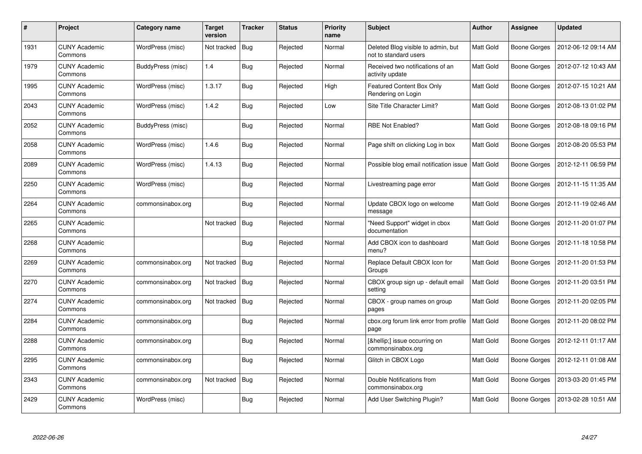| #    | Project                         | Category name     | Target<br>version | <b>Tracker</b> | <b>Status</b> | <b>Priority</b><br>name | Subject                                                     | <b>Author</b>    | Assignee            | <b>Updated</b>      |
|------|---------------------------------|-------------------|-------------------|----------------|---------------|-------------------------|-------------------------------------------------------------|------------------|---------------------|---------------------|
| 1931 | <b>CUNY Academic</b><br>Commons | WordPress (misc)  | Not tracked       | Bug            | Rejected      | Normal                  | Deleted Blog visible to admin, but<br>not to standard users | <b>Matt Gold</b> | Boone Gorges        | 2012-06-12 09:14 AM |
| 1979 | <b>CUNY Academic</b><br>Commons | BuddyPress (misc) | 1.4               | Bug            | Rejected      | Normal                  | Received two notifications of an<br>activity update         | <b>Matt Gold</b> | Boone Gorges        | 2012-07-12 10:43 AM |
| 1995 | <b>CUNY Academic</b><br>Commons | WordPress (misc)  | 1.3.17            | <b>Bug</b>     | Rejected      | High                    | <b>Featured Content Box Only</b><br>Rendering on Login      | <b>Matt Gold</b> | Boone Gorges        | 2012-07-15 10:21 AM |
| 2043 | <b>CUNY Academic</b><br>Commons | WordPress (misc)  | 1.4.2             | <b>Bug</b>     | Rejected      | Low                     | Site Title Character Limit?                                 | Matt Gold        | Boone Gorges        | 2012-08-13 01:02 PM |
| 2052 | <b>CUNY Academic</b><br>Commons | BuddyPress (misc) |                   | Bug            | Rejected      | Normal                  | <b>RBE Not Enabled?</b>                                     | <b>Matt Gold</b> | Boone Gorges        | 2012-08-18 09:16 PM |
| 2058 | <b>CUNY Academic</b><br>Commons | WordPress (misc)  | 1.4.6             | Bug            | Rejected      | Normal                  | Page shift on clicking Log in box                           | Matt Gold        | Boone Gorges        | 2012-08-20 05:53 PM |
| 2089 | <b>CUNY Academic</b><br>Commons | WordPress (misc)  | 1.4.13            | Bug            | Rejected      | Normal                  | Possible blog email notification issue                      | Matt Gold        | Boone Gorges        | 2012-12-11 06:59 PM |
| 2250 | <b>CUNY Academic</b><br>Commons | WordPress (misc)  |                   | <b>Bug</b>     | Rejected      | Normal                  | Livestreaming page error                                    | Matt Gold        | Boone Gorges        | 2012-11-15 11:35 AM |
| 2264 | <b>CUNY Academic</b><br>Commons | commonsinabox.org |                   | Bug            | Rejected      | Normal                  | Update CBOX logo on welcome<br>message                      | <b>Matt Gold</b> | Boone Gorges        | 2012-11-19 02:46 AM |
| 2265 | <b>CUNY Academic</b><br>Commons |                   | Not tracked       | Bug            | Rejected      | Normal                  | 'Need Support" widget in cbox<br>documentation              | <b>Matt Gold</b> | Boone Gorges        | 2012-11-20 01:07 PM |
| 2268 | <b>CUNY Academic</b><br>Commons |                   |                   | <b>Bug</b>     | Rejected      | Normal                  | Add CBOX icon to dashboard<br>menu?                         | Matt Gold        | Boone Gorges        | 2012-11-18 10:58 PM |
| 2269 | <b>CUNY Academic</b><br>Commons | commonsinabox.org | Not tracked       | Bug            | Rejected      | Normal                  | Replace Default CBOX Icon for<br>Groups                     | Matt Gold        | <b>Boone Gorges</b> | 2012-11-20 01:53 PM |
| 2270 | <b>CUNY Academic</b><br>Commons | commonsinabox.org | Not tracked       | Bug            | Rejected      | Normal                  | CBOX group sign up - default email<br>setting               | <b>Matt Gold</b> | Boone Gorges        | 2012-11-20 03:51 PM |
| 2274 | <b>CUNY Academic</b><br>Commons | commonsinabox.org | Not tracked       | Bug            | Rejected      | Normal                  | CBOX - group names on group<br>pages                        | Matt Gold        | Boone Gorges        | 2012-11-20 02:05 PM |
| 2284 | <b>CUNY Academic</b><br>Commons | commonsinabox.org |                   | <b>Bug</b>     | Rejected      | Normal                  | cbox.org forum link error from profile<br>page              | <b>Matt Gold</b> | Boone Gorges        | 2012-11-20 08:02 PM |
| 2288 | <b>CUNY Academic</b><br>Commons | commonsinabox.org |                   | Bug            | Rejected      | Normal                  | […] issue occurring on<br>commonsinabox.org                 | Matt Gold        | Boone Gorges        | 2012-12-11 01:17 AM |
| 2295 | <b>CUNY Academic</b><br>Commons | commonsinabox.org |                   | Bug            | Rejected      | Normal                  | Glitch in CBOX Logo                                         | Matt Gold        | Boone Gorges        | 2012-12-11 01:08 AM |
| 2343 | <b>CUNY Academic</b><br>Commons | commonsinabox.org | Not tracked       | Bug            | Rejected      | Normal                  | Double Notifications from<br>commonsinabox.org              | Matt Gold        | <b>Boone Gorges</b> | 2013-03-20 01:45 PM |
| 2429 | <b>CUNY Academic</b><br>Commons | WordPress (misc)  |                   | Bug            | Rejected      | Normal                  | Add User Switching Plugin?                                  | <b>Matt Gold</b> | Boone Gorges        | 2013-02-28 10:51 AM |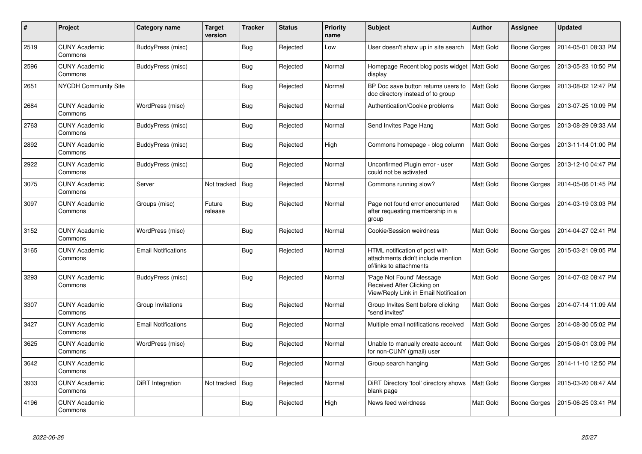| $\#$ | Project                         | Category name              | <b>Target</b><br>version | <b>Tracker</b> | <b>Status</b> | <b>Priority</b><br>name | <b>Subject</b>                                                                                  | <b>Author</b> | Assignee     | <b>Updated</b>      |
|------|---------------------------------|----------------------------|--------------------------|----------------|---------------|-------------------------|-------------------------------------------------------------------------------------------------|---------------|--------------|---------------------|
| 2519 | <b>CUNY Academic</b><br>Commons | BuddyPress (misc)          |                          | Bug            | Rejected      | Low                     | User doesn't show up in site search                                                             | Matt Gold     | Boone Gorges | 2014-05-01 08:33 PM |
| 2596 | <b>CUNY Academic</b><br>Commons | BuddyPress (misc)          |                          | Bug            | Rejected      | Normal                  | Homepage Recent blog posts widget<br>display                                                    | Matt Gold     | Boone Gorges | 2013-05-23 10:50 PM |
| 2651 | <b>NYCDH Community Site</b>     |                            |                          | <b>Bug</b>     | Rejected      | Normal                  | BP Doc save button returns users to<br>doc directory instead of to group                        | Matt Gold     | Boone Gorges | 2013-08-02 12:47 PM |
| 2684 | <b>CUNY Academic</b><br>Commons | WordPress (misc)           |                          | <b>Bug</b>     | Rejected      | Normal                  | Authentication/Cookie problems                                                                  | Matt Gold     | Boone Gorges | 2013-07-25 10:09 PM |
| 2763 | <b>CUNY Academic</b><br>Commons | BuddyPress (misc)          |                          | Bug            | Rejected      | Normal                  | Send Invites Page Hang                                                                          | Matt Gold     | Boone Gorges | 2013-08-29 09:33 AM |
| 2892 | <b>CUNY Academic</b><br>Commons | BuddyPress (misc)          |                          | Bug            | Rejected      | High                    | Commons homepage - blog column                                                                  | Matt Gold     | Boone Gorges | 2013-11-14 01:00 PM |
| 2922 | <b>CUNY Academic</b><br>Commons | <b>BuddyPress (misc)</b>   |                          | Bug            | Rejected      | Normal                  | Unconfirmed Plugin error - user<br>could not be activated                                       | Matt Gold     | Boone Gorges | 2013-12-10 04:47 PM |
| 3075 | <b>CUNY Academic</b><br>Commons | Server                     | Not tracked              | Bug            | Rejected      | Normal                  | Commons running slow?                                                                           | Matt Gold     | Boone Gorges | 2014-05-06 01:45 PM |
| 3097 | <b>CUNY Academic</b><br>Commons | Groups (misc)              | Future<br>release        | <b>Bug</b>     | Rejected      | Normal                  | Page not found error encountered<br>after requesting membership in a<br>group                   | Matt Gold     | Boone Gorges | 2014-03-19 03:03 PM |
| 3152 | <b>CUNY Academic</b><br>Commons | WordPress (misc)           |                          | <b>Bug</b>     | Rejected      | Normal                  | Cookie/Session weirdness                                                                        | Matt Gold     | Boone Gorges | 2014-04-27 02:41 PM |
| 3165 | <b>CUNY Academic</b><br>Commons | <b>Email Notifications</b> |                          | Bug            | Rejected      | Normal                  | HTML notification of post with<br>attachments didn't include mention<br>of/links to attachments | Matt Gold     | Boone Gorges | 2015-03-21 09:05 PM |
| 3293 | <b>CUNY Academic</b><br>Commons | BuddyPress (misc)          |                          | Bug            | Rejected      | Normal                  | 'Page Not Found' Message<br>Received After Clicking on<br>View/Reply Link in Email Notification | Matt Gold     | Boone Gorges | 2014-07-02 08:47 PM |
| 3307 | <b>CUNY Academic</b><br>Commons | Group Invitations          |                          | Bug            | Rejected      | Normal                  | Group Invites Sent before clicking<br>"send invites"                                            | Matt Gold     | Boone Gorges | 2014-07-14 11:09 AM |
| 3427 | <b>CUNY Academic</b><br>Commons | <b>Email Notifications</b> |                          | Bug            | Rejected      | Normal                  | Multiple email notifications received                                                           | Matt Gold     | Boone Gorges | 2014-08-30 05:02 PM |
| 3625 | <b>CUNY Academic</b><br>Commons | WordPress (misc)           |                          | Bug            | Rejected      | Normal                  | Unable to manually create account<br>for non-CUNY (gmail) user                                  | Matt Gold     | Boone Gorges | 2015-06-01 03:09 PM |
| 3642 | <b>CUNY Academic</b><br>Commons |                            |                          | <b>Bug</b>     | Rejected      | Normal                  | Group search hanging                                                                            | Matt Gold     | Boone Gorges | 2014-11-10 12:50 PM |
| 3933 | <b>CUNY Academic</b><br>Commons | DiRT Integration           | Not tracked              | <b>Bug</b>     | Rejected      | Normal                  | DiRT Directory 'tool' directory shows<br>blank page                                             | Matt Gold     | Boone Gorges | 2015-03-20 08:47 AM |
| 4196 | <b>CUNY Academic</b><br>Commons |                            |                          | Bug            | Rejected      | High                    | News feed weirdness                                                                             | Matt Gold     | Boone Gorges | 2015-06-25 03:41 PM |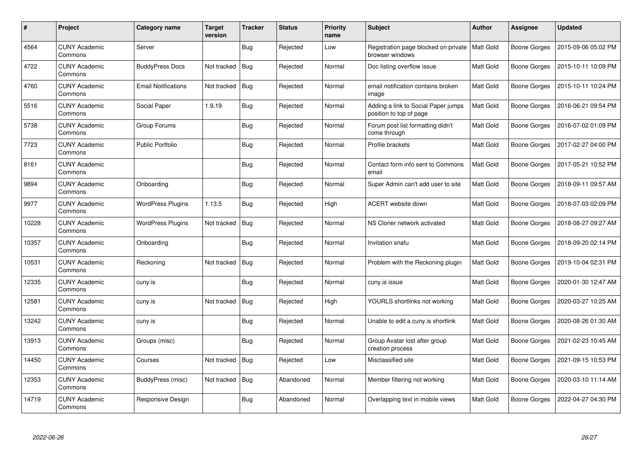| $\#$  | Project                         | Category name              | <b>Target</b><br>version | Tracker    | <b>Status</b> | <b>Priority</b><br>name | <b>Subject</b>                                                 | <b>Author</b>    | Assignee     | <b>Updated</b>      |
|-------|---------------------------------|----------------------------|--------------------------|------------|---------------|-------------------------|----------------------------------------------------------------|------------------|--------------|---------------------|
| 4564  | <b>CUNY Academic</b><br>Commons | Server                     |                          | <b>Bug</b> | Rejected      | Low                     | Registration page blocked on private<br>browser windows        | <b>Matt Gold</b> | Boone Gorges | 2015-09-06 05:02 PM |
| 4722  | <b>CUNY Academic</b><br>Commons | <b>BuddyPress Docs</b>     | Not tracked              | Bug        | Rejected      | Normal                  | Doc listing overflow issue                                     | Matt Gold        | Boone Gorges | 2015-10-11 10:09 PM |
| 4760  | <b>CUNY Academic</b><br>Commons | <b>Email Notifications</b> | Not tracked              | Bug        | Rejected      | Normal                  | email notification contains broken<br>image                    | Matt Gold        | Boone Gorges | 2015-10-11 10:24 PM |
| 5516  | <b>CUNY Academic</b><br>Commons | Social Paper               | 1.9.19                   | Bug        | Rejected      | Normal                  | Adding a link to Social Paper jumps<br>position to top of page | Matt Gold        | Boone Gorges | 2016-06-21 09:54 PM |
| 5738  | <b>CUNY Academic</b><br>Commons | Group Forums               |                          | Bug        | Rejected      | Normal                  | Forum post list formatting didn't<br>come through              | Matt Gold        | Boone Gorges | 2016-07-02 01:09 PM |
| 7723  | <b>CUNY Academic</b><br>Commons | <b>Public Portfolio</b>    |                          | Bug        | Rejected      | Normal                  | Profile brackets                                               | Matt Gold        | Boone Gorges | 2017-02-27 04:00 PM |
| 8161  | <b>CUNY Academic</b><br>Commons |                            |                          | Bug        | Rejected      | Normal                  | Contact form info sent to Commons<br>email                     | Matt Gold        | Boone Gorges | 2017-05-21 10:52 PM |
| 9894  | <b>CUNY Academic</b><br>Commons | Onboarding                 |                          | Bug        | Rejected      | Normal                  | Super Admin can't add user to site                             | Matt Gold        | Boone Gorges | 2018-09-11 09:57 AM |
| 9977  | <b>CUNY Academic</b><br>Commons | <b>WordPress Plugins</b>   | 1.13.5                   | Bug        | Rejected      | High                    | ACERT website down                                             | Matt Gold        | Boone Gorges | 2018-07-03 02:09 PM |
| 10228 | <b>CUNY Academic</b><br>Commons | <b>WordPress Plugins</b>   | Not tracked              | Bug        | Rejected      | Normal                  | NS Cloner network activated                                    | Matt Gold        | Boone Gorges | 2018-08-27 09:27 AM |
| 10357 | <b>CUNY Academic</b><br>Commons | Onboarding                 |                          | <b>Bug</b> | Rejected      | Normal                  | Invitation snafu                                               | Matt Gold        | Boone Gorges | 2018-09-20 02:14 PM |
| 10531 | <b>CUNY Academic</b><br>Commons | Reckoning                  | Not tracked              | <b>Bug</b> | Rejected      | Normal                  | Problem with the Reckoning plugin                              | Matt Gold        | Boone Gorges | 2019-10-04 02:31 PM |
| 12335 | <b>CUNY Academic</b><br>Commons | cuny.is                    |                          | Bug        | Rejected      | Normal                  | cuny.is issue                                                  | Matt Gold        | Boone Gorges | 2020-01-30 12:47 AM |
| 12581 | <b>CUNY Academic</b><br>Commons | cuny.is                    | Not tracked              | Bug        | Rejected      | High                    | YOURLS shortlinks not working                                  | Matt Gold        | Boone Gorges | 2020-03-27 10:25 AM |
| 13242 | <b>CUNY Academic</b><br>Commons | cuny.is                    |                          | <b>Bug</b> | Rejected      | Normal                  | Unable to edit a cuny.is shortlink                             | Matt Gold        | Boone Gorges | 2020-08-26 01:30 AM |
| 13913 | <b>CUNY Academic</b><br>Commons | Groups (misc)              |                          | Bug        | Rejected      | Normal                  | Group Avatar lost after group<br>creation process              | Matt Gold        | Boone Gorges | 2021-02-23 10:45 AM |
| 14450 | <b>CUNY Academic</b><br>Commons | Courses                    | Not tracked              | Bug        | Rejected      | Low                     | Misclassified site                                             | Matt Gold        | Boone Gorges | 2021-09-15 10:53 PM |
| 12353 | <b>CUNY Academic</b><br>Commons | BuddyPress (misc)          | Not tracked              | Bug        | Abandoned     | Normal                  | Member filtering not working                                   | Matt Gold        | Boone Gorges | 2020-03-10 11:14 AM |
| 14719 | <b>CUNY Academic</b><br>Commons | Responsive Design          |                          | Bug        | Abandoned     | Normal                  | Overlapping text in mobile views                               | Matt Gold        | Boone Gorges | 2022-04-27 04:30 PM |